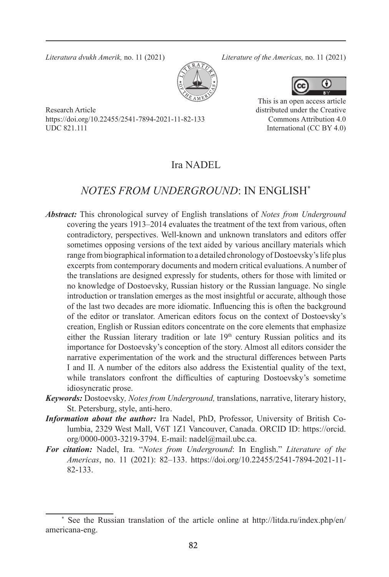*Literatura dvukh Amerik,* no. 11 (2021) *Literature of the Americas,* no. 11 (2021)

This is an open access article distributed under the Creative Commons Attribution 4.0 International (CC BY 4.0)



Research Article https://doi.org/10.22455/2541-7894-2021-11-82-133 UDC 821.111

### Ira NADEL

## *NOTES FROM UNDERGROUND*: IN ENGLISH\*

- *Abstract:* This chronological survey of English translations of *Notes from Underground*  covering the years 1913–2014 evaluates the treatment of the text from various, often contradictory, perspectives. Well-known and unknown translators and editors offer sometimes opposing versions of the text aided by various ancillary materials which range from biographical information to a detailed chronology of Dostoevsky's life plus excerpts from contemporary documents and modern critical evaluations. Anumber of the translations are designed expressly for students, others for those with limited or no knowledge of Dostoevsky, Russian history or the Russian language. No single introduction or translation emerges as the most insightful or accurate, although those of the last two decades are more idiomatic. Influencing this is often the background of the editor or translator. American editors focus on the context of Dostoevsky's creation, English or Russian editors concentrate on the core elements that emphasize either the Russian literary tradition or late 19<sup>th</sup> century Russian politics and its importance for Dostoevsky's conception of the story. Almost all editors consider the narrative experimentation of the work and the structural differences between Parts I and II. A number of the editors also address the Existential quality of the text, while translators confront the difficulties of capturing Dostoevsky's sometime idiosyncratic prose.
- *Keywords:* Dostoevsky*, Notes from Underground,* translations, narrative, literary history, St. Petersburg, style, anti-hero.
- *Information about the author:* Ira Nadel, PhD, Professor, University of British Columbia, 2329 West Mall, V6T 1Z1 Vancouver, Canada. ORCID ID: https://orcid. org/0000-0003-3219-3794. E-mail: nadel@mail.ubc.ca.
- *For citation:* Nadel, Ira. "*Notes from Underground*: In English." *Literature of the Americas*, no. 11 (2021): 82–133. https://doi.org/10.22455/2541-7894-2021-11- 82-133.

<sup>\*</sup> See the Russian translation of the article online at http://litda.ru/index.php/en/ americana-eng.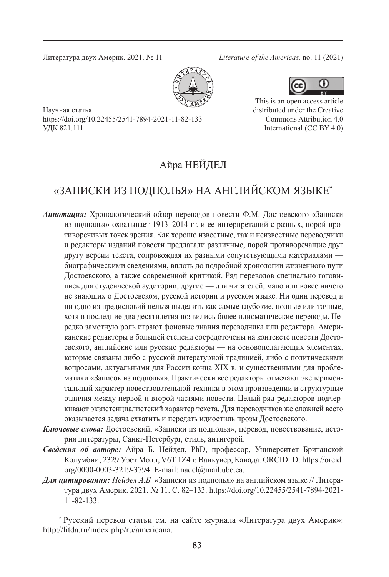Литература двух Америк. 2021. № 11 *Literature of the Americas,* no. 11 (2021)





distributed under the Creative Commons Attribution 4.0 International (CC BY 4.0)

Научная статья https://doi.org/10.22455/2541-7894-2021-11-82-133 УДК 821.111

## Айра НЕЙДЕЛ

# «ЗАПИСКИ ИЗ ПОДПОЛЬЯ» НА АНГЛИЙСКОМ ЯЗЫКЕ\*

- *Аннотация:* Хронологический обзор переводов повести Ф.М. Достоевского «Записки из подполья» охватывает 1913–2014 гг. и ее интерпретаций с разных, порой противоречивых точек зрения. Как хорошо известные, так и неизвестные переводчики и редакторы изданий повести предлагали различные, порой противоречащие друг другу версии текста, сопровождая их разными сопутствующими материалами биографическими сведениями, вплоть до подробной хронологии жизненного пути Достоевского, а также современной критикой. Ряд переводов специально готовились для студенческой аудитории, другие — для читателей, мало или вовсе ничего не знающих о Достоевском, русской истории и русском языке. Ни один перевод и ни одно из предисловий нельзя выделить как самые глубокие, полные или точные, хотя в последние два десятилетия появились более идиоматические переводы. Нередко заметную роль играют фоновые знания переводчика или редактора. Американские редакторы в большей степени сосредоточены на контексте повести Достоевского, английские или русские редакторы — на основополагающих элементах, которые связаны либо с русской литературной традицией, либо с политическими вопросами, актуальными для России конца XIX в. и существенными для проблематики «Записок из подполья». Практически все редакторы отмечают экспериментальный характер повествовательной техники в этом произведении и структурные отличия между первой и второй частями повести. Целый ряд редакторов подчеркивают экзистенциалистский характер текста. Для переводчиков же сложней всего оказывается задача схватить и передать идиостиль прозы Достоевского.
- *Ключевые слова:* Достоевский, «Записки из подполья», перевод, повествование, история литературы, Санкт-Петербург, стиль, антигерой.
- *Сведения об авторе:* Айра Б. Нейдел, PhD, профессор, Университет Британской Колумбии, 2329 Уэст Молл, V6T 1Z4 г. Ванкувер, Канада. ORCID ID: https://orcid. org/0000-0003-3219-3794. E-mail: nadel@mail.ubc.ca.
- *Для цитирования: Нейдел А.Б.* «Записки из подполья» на английском языке // Литература двух Америк. 2021. № 11. С. 82–133. https://doi.org/10.22455/2541-7894-2021- 11-82-133.

Русский перевод статьи см. на сайте журнала «Литература двух Америк»: http://litda.ru/index.php/ru/americana.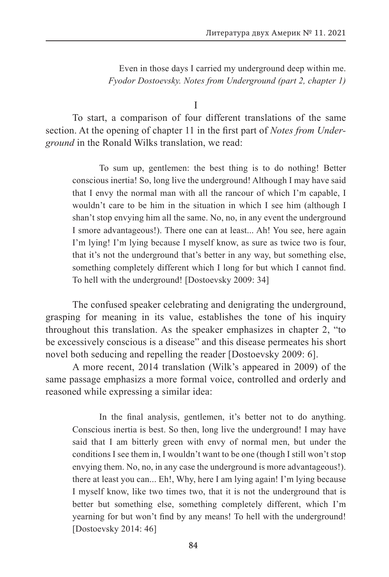Even in those days I carried my underground deep within me. *Fyodor Dostoevsky. Notes from Underground (part 2, chapter 1)*

I

To start, a comparison of four different translations of the same section. At the opening of chapter 11 in the first part of *Notes from Underground* in the Ronald Wilks translation, we read:

To sum up, gentlemen: the best thing is to do nothing! Better conscious inertia! So, long live the underground! Although I may have said that I envy the normal man with all the rancour of which I'm capable, I wouldn't care to be him in the situation in which I see him (although I shan't stop envying him all the same. No, no, in any event the underground I smore advantageous!). There one can at least... Ah! You see, here again I'm lying! I'm lying because I myself know, as sure as twice two is four, that it's not the underground that's better in any way, but something else, something completely different which I long for but which I cannot find. To hell with the underground! [Dostoevsky 2009: 34]

The confused speaker celebrating and denigrating the underground, grasping for meaning in its value, establishes the tone of his inquiry throughout this translation. As the speaker emphasizes in chapter 2, "to be excessively conscious is a disease" and this disease permeates his short novel both seducing and repelling the reader [Dostoevsky 2009: 6].

A more recent, 2014 translation (Wilk's appeared in 2009) of the same passage emphasizs a more formal voice, controlled and orderly and reasoned while expressing a similar idea:

In the final analysis, gentlemen, it's better not to do anything. Conscious inertia is best. So then, long live the underground! I may have said that I am bitterly green with envy of normal men, but under the conditions I see them in, I wouldn't want to be one (though I still won't stop envying them. No, no, in any case the underground is more advantageous!). there at least you can... Eh!, Why, here I am lying again! I'm lying because I myself know, like two times two, that it is not the underground that is better but something else, something completely different, which I'm yearning for but won't find by any means! To hell with the underground! [Dostoevsky 2014: 46]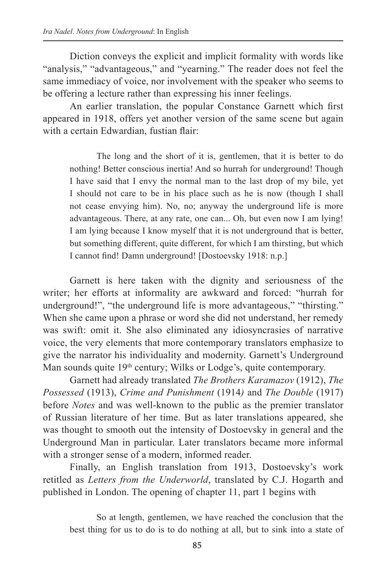Diction conveys the explicit and implicit formality with words like "analysis," "advantageous," and "yearning." The reader does not feel the same immediacy of voice, nor involvement with the speaker who seems to be offering a lecture rather than expressing his inner feelings.

An earlier translation, the popular Constance Garnett which first appeared in 1918, offers yet another version of the same scene but again with a certain Edwardian, fustian flair:

The long and the short of it is, gentlemen, that it is better to do nothing! Better conscious inertia! And so hurrah for underground! Though I have said that I envy the normal man to the last drop of my bile, yet I should not care to be in his place such as he is now (though I shall not cease envying him). No, no; anyway the underground life is more advantageous. There, at any rate, one can... Oh, but even now I am lying! I am lying because I know myself that it is not underground that is better, but something different, quite different, for which I am thirsting, but which I cannot find! Damn underground! [Dostoevsky 1918: n.p.]

Garnett is here taken with the dignity and seriousness of the writer; her efforts at informality are awkward and forced: "hurrah for underground!", "the underground life is more advantageous," "thirsting." When she came upon a phrase or word she did not understand, her remedy was swift: omit it. She also eliminated any idiosyncrasies of narrative voice, the very elements that more contemporary translators emphasize to give the narrator his individuality and modernity. Garnett's Underground Man sounds quite 19<sup>th</sup> century; Wilks or Lodge's, quite contemporary.

Garnett had already translated *The Brothers Karamazov* (1912), *The Possessed* (1913), *Crime and Punishment* (1914*)* and *The Double* (1917) before *Notes* and was well-known to the public as the premier translator of Russian literature of her time. But as later translations appeared, she was thought to smooth out the intensity of Dostoevsky in general and the Underground Man in particular. Later translators became more informal with a stronger sense of a modern, informed reader.

Finally, an English translation from 1913, Dostoevsky's work retitled as *Letters from the Underworld*, translated by C.J. Hogarth and published in London. The opening of chapter 11, part 1 begins with

So at length, gentlemen, we have reached the conclusion that the best thing for us to do is to do nothing at all, but to sink into a state of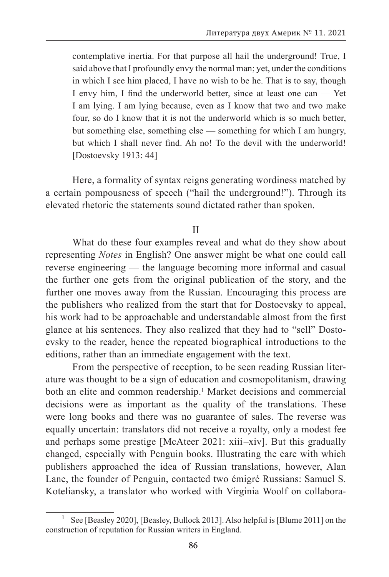contemplative inertia. For that purpose all hail the underground! True, I said above that I profoundly envy the normal man; yet, under the conditions in which I see him placed, I have no wish to be he. That is to say, though I envy him, I find the underworld better, since at least one can — Yet I am lying. I am lying because, even as I know that two and two make four, so do I know that it is not the underworld which is so much better, but something else, something else — something for which I am hungry, but which I shall never find. Ah no! To the devil with the underworld! [Dostoevsky 1913: 44]

Here, a formality of syntax reigns generating wordiness matched by a certain pompousness of speech ("hail the underground!"). Through its elevated rhetoric the statements sound dictated rather than spoken.

II

What do these four examples reveal and what do they show about representing *Notes* in English? One answer might be what one could call reverse engineering — the language becoming more informal and casual the further one gets from the original publication of the story, and the further one moves away from the Russian. Encouraging this process are the publishers who realized from the start that for Dostoevsky to appeal, his work had to be approachable and understandable almost from the first glance at his sentences. They also realized that they had to "sell" Dostoevsky to the reader, hence the repeated biographical introductions to the editions, rather than an immediate engagement with the text.

From the perspective of reception, to be seen reading Russian literature was thought to be a sign of education and cosmopolitanism, drawing both an elite and common readership.<sup>1</sup> Market decisions and commercial decisions were as important as the quality of the translations. These were long books and there was no guarantee of sales. The reverse was equally uncertain: translators did not receive a royalty, only a modest fee and perhaps some prestige [McAteer 2021: xiii–xiv]. But this gradually changed, especially with Penguin books. Illustrating the care with which publishers approached the idea of Russian translations, however, Alan Lane, the founder of Penguin, contacted two émigré Russians: Samuel S. Koteliansky, a translator who worked with Virginia Woolf on collabora-

See [Beasley 2020], [Beasley, Bullock 2013]. Also helpful is [Blume 2011] on the construction of reputation for Russian writers in England.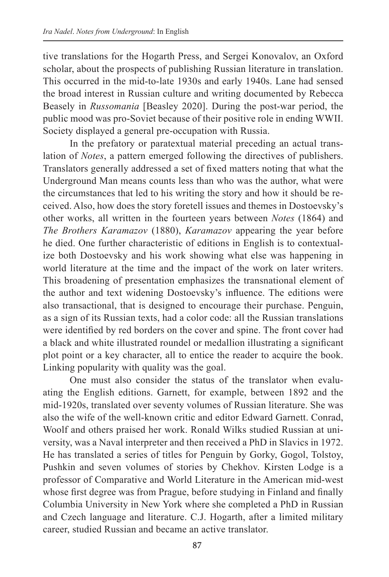tive translations for the Hogarth Press, and Sergei Konovalov, an Oxford scholar, about the prospects of publishing Russian literature in translation. This occurred in the mid-to-late 1930s and early 1940s. Lane had sensed the broad interest in Russian culture and writing documented by Rebecca Beasely in *Russomania* [Beasley 2020]. During the post-war period, the public mood was pro-Soviet because of their positive role in ending WWII. Society displayed a general pre-occupation with Russia.

In the prefatory or paratextual material preceding an actual translation of *Notes*, a pattern emerged following the directives of publishers. Translators generally addressed a set of fixed matters noting that what the Underground Man means counts less than who was the author, what were the circumstances that led to his writing the story and how it should be received. Also, how does the story foretell issues and themes in Dostoevsky's other works, all written in the fourteen years between *Notes* (1864) and *The Brothers Karamazov* (1880), *Karamazov* appearing the year before he died. One further characteristic of editions in English is to contextualize both Dostoevsky and his work showing what else was happening in world literature at the time and the impact of the work on later writers. This broadening of presentation emphasizes the transnational element of the author and text widening Dostoevsky's influence. The editions were also transactional, that is designed to encourage their purchase. Penguin, as a sign of its Russian texts, had a color code: all the Russian translations were identified by red borders on the cover and spine. The front cover had a black and white illustrated roundel or medallion illustrating a significant plot point or a key character, all to entice the reader to acquire the book. Linking popularity with quality was the goal.

One must also consider the status of the translator when evaluating the English editions. Garnett, for example, between 1892 and the mid-1920s, translated over seventy volumes of Russian literature. She was also the wife of the well-known critic and editor Edward Garnett. Conrad, Woolf and others praised her work. Ronald Wilks studied Russian at university, was a Naval interpreter and then received a PhD in Slavics in 1972. He has translated a series of titles for Penguin by Gorky, Gogol, Tolstoy, Pushkin and seven volumes of stories by Chekhov. Kirsten Lodge is a professor of Comparative and World Literature in the American mid-west whose first degree was from Prague, before studying in Finland and finally Columbia University in New York where she completed a PhD in Russian and Czech language and literature. C.J. Hogarth, after a limited military career, studied Russian and became an active translator.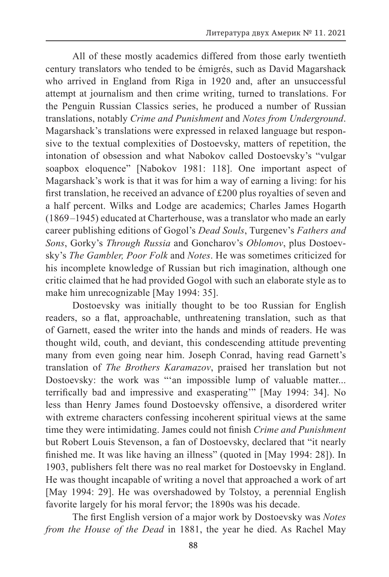All of these mostly academics differed from those early twentieth century translators who tended to be émigrés, such as David Magarshack who arrived in England from Riga in 1920 and, after an unsuccessful attempt at journalism and then crime writing, turned to translations. For the Penguin Russian Classics series, he produced a number of Russian translations, notably *Crime and Punishment* and *Notes from Underground*. Magarshack's translations were expressed in relaxed language but responsive to the textual complexities of Dostoevsky, matters of repetition, the intonation of obsession and what Nabokov called Dostoevsky's "vulgar soapbox eloquence" [Nabokov 1981: 118]. One important aspect of Magarshack's work is that it was for him a way of earning a living: for his first translation, he received an advance of £200 plus royalties of seven and a half percent. Wilks and Lodge are academics; Charles James Hogarth (1869 –1945) educated at Charterhouse, was a translator who made an early career publishing editions of Gogol's *Dead Souls*, Turgenev's *Fathers and Sons*, Gorky's *Through Russia* and Goncharov's *Oblomov*, plus Dostoevsky's *The Gambler, Poor Folk* and *Notes*. He was sometimes criticized for his incomplete knowledge of Russian but rich imagination, although one critic claimed that he had provided Gogol with such an elaborate style as to make him unrecognizable [May 1994: 35].

Dostoevsky was initially thought to be too Russian for English readers, so a flat, approachable, unthreatening translation, such as that of Garnett, eased the writer into the hands and minds of readers. He was thought wild, couth, and deviant, this condescending attitude preventing many from even going near him. Joseph Conrad, having read Garnett's translation of *The Brothers Karamazov*, praised her translation but not Dostoevsky: the work was "'an impossible lump of valuable matter... terrifically bad and impressive and exasperating'" [May 1994: 34]. No less than Henry James found Dostoevsky offensive, a disordered writer with extreme characters confessing incoherent spiritual views at the same time they were intimidating. James could not finish *Crime and Punishment* but Robert Louis Stevenson, a fan of Dostoevsky, declared that "it nearly finished me. It was like having an illness" (quoted in [May 1994: 28]). In 1903, publishers felt there was no real market for Dostoevsky in England. He was thought incapable of writing a novel that approached a work of art [May 1994: 29]. He was overshadowed by Tolstoy, a perennial English favorite largely for his moral fervor; the 1890s was his decade.

The first English version of a major work by Dostoevsky was *Notes from the House of the Dead* in 1881, the year he died. As Rachel May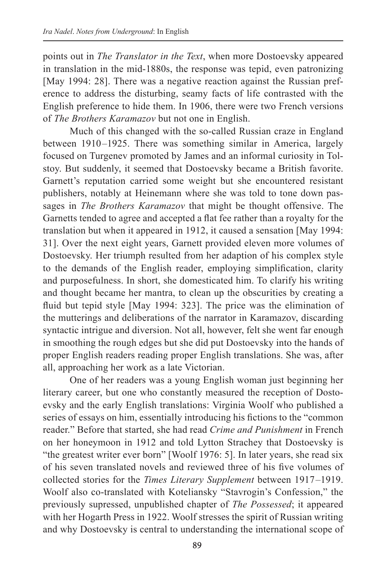points out in *The Translator in the Text*, when more Dostoevsky appeared in translation in the mid-1880s, the response was tepid, even patronizing [May 1994: 28]. There was a negative reaction against the Russian preference to address the disturbing, seamy facts of life contrasted with the English preference to hide them. In 1906, there were two French versions of *The Brothers Karamazov* but not one in English.

Much of this changed with the so-called Russian craze in England between 1910–1925. There was something similar in America, largely focused on Turgenev promoted by James and an informal curiosity in Tolstoy. But suddenly, it seemed that Dostoevsky became a British favorite. Garnett's reputation carried some weight but she encountered resistant publishers, notably at Heinemann where she was told to tone down passages in *The Brothers Karamazov* that might be thought offensive. The Garnetts tended to agree and accepted a flat fee rather than a royalty for the translation but when it appeared in 1912, it caused a sensation [May 1994: 31]. Over the next eight years, Garnett provided eleven more volumes of Dostoevsky. Her triumph resulted from her adaption of his complex style to the demands of the English reader, employing simplification, clarity and purposefulness. In short, she domesticated him. To clarify his writing and thought became her mantra, to clean up the obscurities by creating a fluid but tepid style [May 1994: 323]. The price was the elimination of the mutterings and deliberations of the narrator in Karamazov, discarding syntactic intrigue and diversion. Not all, however, felt she went far enough in smoothing the rough edges but she did put Dostoevsky into the hands of proper English readers reading proper English translations. She was, after all, approaching her work as a late Victorian.

One of her readers was a young English woman just beginning her literary career, but one who constantly measured the reception of Dostoevsky and the early English translations: Virginia Woolf who published a series of essays on him, essentially introducing his fictions to the "common reader." Before that started, she had read *Crime and Punishment* in French on her honeymoon in 1912 and told Lytton Strachey that Dostoevsky is "the greatest writer ever born" [Woolf 1976: 5]. In later years, she read six of his seven translated novels and reviewed three of his five volumes of collected stories for the *Times Literary Supplement* between 1917 –1919. Woolf also co-translated with Koteliansky "Stavrogin's Confession," the previously supressed, unpublished chapter of *The Possessed*; it appeared with her Hogarth Press in 1922. Woolf stresses the spirit of Russian writing and why Dostoevsky is central to understanding the international scope of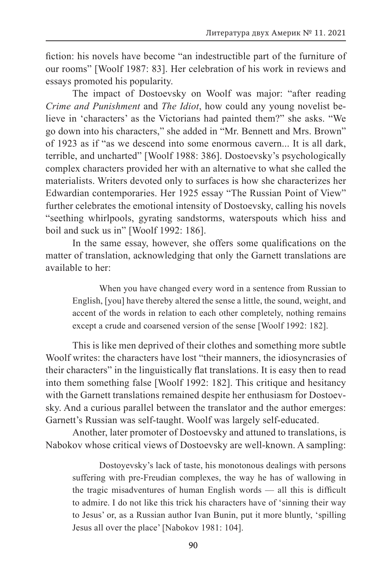fiction: his novels have become "an indestructible part of the furniture of our rooms" [Woolf 1987: 83]. Her celebration of his work in reviews and essays promoted his popularity.

The impact of Dostoevsky on Woolf was major: "after reading *Crime and Punishment* and *The Idiot*, how could any young novelist believe in 'characters' as the Victorians had painted them?" she asks. "We go down into his characters," she added in "Mr. Bennett and Mrs. Brown" of 1923 as if "as we descend into some enormous cavern... It is all dark, terrible, and uncharted" [Woolf 1988: 386]. Dostoevsky's psychologically complex characters provided her with an alternative to what she called the materialists. Writers devoted only to surfaces is how she characterizes her Edwardian contemporaries. Her 1925 essay "The Russian Point of View" further celebrates the emotional intensity of Dostoevsky, calling his novels "seething whirlpools, gyrating sandstorms, waterspouts which hiss and boil and suck us in" [Woolf 1992: 186].

In the same essay, however, she offers some qualifications on the matter of translation, acknowledging that only the Garnett translations are available to her:

When you have changed every word in a sentence from Russian to English, [you] have thereby altered the sense a little, the sound, weight, and accent of the words in relation to each other completely, nothing remains except a crude and coarsened version of the sense [Woolf 1992: 182].

This is like men deprived of their clothes and something more subtle Woolf writes: the characters have lost "their manners, the idiosyncrasies of their characters" in the linguistically flat translations. It is easy then to read into them something false [Woolf 1992: 182]. This critique and hesitancy with the Garnett translations remained despite her enthusiasm for Dostoevsky. And a curious parallel between the translator and the author emerges: Garnett's Russian was self-taught. Woolf was largely self-educated.

Another, later promoter of Dostoevsky and attuned to translations, is Nabokov whose critical views of Dostoevsky are well-known. A sampling:

Dostoyevsky's lack of taste, his monotonous dealings with persons suffering with pre-Freudian complexes, the way he has of wallowing in the tragic misadventures of human English words — all this is difficult to admire. I do not like this trick his characters have of 'sinning their way to Jesus' or, as a Russian author Ivan Bunin, put it more bluntly, 'spilling Jesus all over the place' [Nabokov 1981: 104].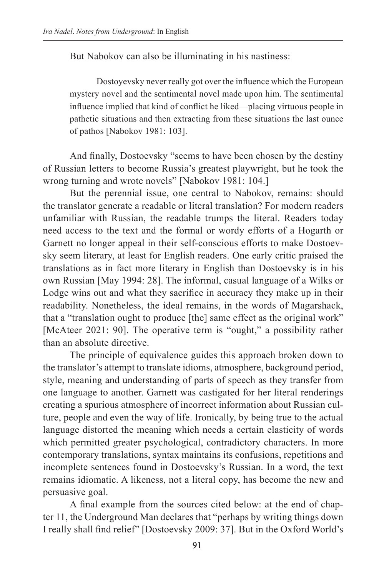But Nabokov can also be illuminating in his nastiness:

Dostoyevsky never really got over the influence which the European mystery novel and the sentimental novel made upon him. The sentimental influence implied that kind of conflict he liked—placing virtuous people in pathetic situations and then extracting from these situations the last ounce of pathos [Nabokov 1981: 103].

And finally, Dostoevsky "seems to have been chosen by the destiny of Russian letters to become Russia's greatest playwright, but he took the wrong turning and wrote novels" [Nabokov 1981: 104.]

But the perennial issue, one central to Nabokov, remains: should the translator generate a readable or literal translation? For modern readers unfamiliar with Russian, the readable trumps the literal. Readers today need access to the text and the formal or wordy efforts of a Hogarth or Garnett no longer appeal in their self-conscious efforts to make Dostoevsky seem literary, at least for English readers. One early critic praised the translations as in fact more literary in English than Dostoevsky is in his own Russian [May 1994: 28]. The informal, casual language of a Wilks or Lodge wins out and what they sacrifice in accuracy they make up in their readability. Nonetheless, the ideal remains, in the words of Magarshack, that a "translation ought to produce [the] same effect as the original work" [McAteer 2021: 90]. The operative term is "ought," a possibility rather than an absolute directive.

The principle of equivalence guides this approach broken down to the translator's attempt to translate idioms, atmosphere, background period, style, meaning and understanding of parts of speech as they transfer from one language to another. Garnett was castigated for her literal renderings creating a spurious atmosphere of incorrect information about Russian culture, people and even the way of life. Ironically, by being true to the actual language distorted the meaning which needs a certain elasticity of words which permitted greater psychological, contradictory characters. In more contemporary translations, syntax maintains its confusions, repetitions and incomplete sentences found in Dostoevsky's Russian. In a word, the text remains idiomatic. A likeness, not a literal copy, has become the new and persuasive goal.

A final example from the sources cited below: at the end of chapter 11, the Underground Man declares that "perhaps by writing things down I really shall find relief" [Dostoevsky 2009: 37]. But in the Oxford World's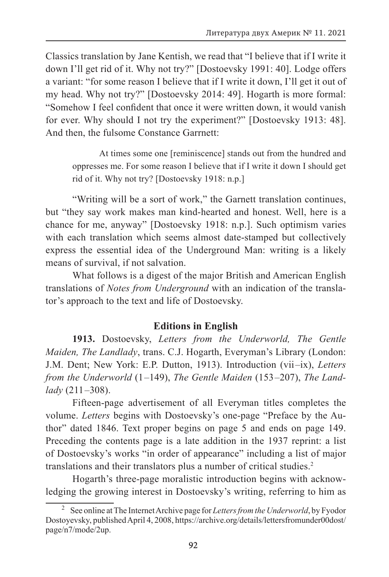Classics translation by Jane Kentish, we read that "I believe that if I write it down I'll get rid of it. Why not try?" [Dostoevsky 1991: 40]. Lodge offers a variant: "for some reason I believe that if I write it down, I'll get it out of my head. Why not try?" [Dostoevsky 2014: 49]. Hogarth is more formal: "Somehow I feel confident that once it were written down, it would vanish for ever. Why should I not try the experiment?" [Dostoevsky 1913: 48]. And then, the fulsome Constance Garrnett:

At times some one [reminiscence] stands out from the hundred and oppresses me. For some reason I believe that if I write it down I should get rid of it. Why not try? [Dostoevsky 1918: n.p.]

"Writing will be a sort of work," the Garnett translation continues, but "they say work makes man kind-hearted and honest. Well, here is a chance for me, anyway" [Dostoevsky 1918: n.p.]. Such optimism varies with each translation which seems almost date-stamped but collectively express the essential idea of the Underground Man: writing is a likely means of survival, if not salvation.

What follows is a digest of the major British and American English translations of *Notes from Underground* with an indication of the translator's approach to the text and life of Dostoevsky.

### **Editions in English**

**1913.** Dostoevsky, *Letters from the Underworld, The Gentle Maiden, The Landlady*, trans. C.J. Hogarth, Everyman's Library (London: J.M. Dent; New York: E.P. Dutton, 1913). Introduction (vii –ix), *Letters from the Underworld* (1 –149), *The Gentle Maiden* (153 –207), *The Landlady* (211 –308).

Fifteen-page advertisement of all Everyman titles completes the volume. *Letters* begins with Dostoevsky's one-page "Preface by the Author" dated 1846. Text proper begins on page 5 and ends on page 149. Preceding the contents page is a late addition in the 1937 reprint: a list of Dostoevsky's works "in order of appearance" including a list of major translations and their translators plus a number of critical studies.2

Hogarth's three-page moralistic introduction begins with acknowledging the growing interest in Dostoevsky's writing, referring to him as

<sup>2</sup> See online at The Internet Archive page for *Letters from the Underworld*, by Fyodor Dostoyevsky, published April 4, 2008, https://archive.org/details/lettersfromunder00dost/ page/n7/mode/2up.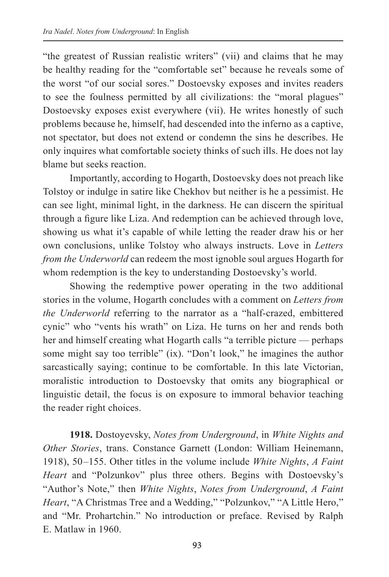"the greatest of Russian realistic writers" (vii) and claims that he may be healthy reading for the "comfortable set" because he reveals some of the worst "of our social sores." Dostoevsky exposes and invites readers to see the foulness permitted by all civilizations: the "moral plagues" Dostoevsky exposes exist everywhere (vii). He writes honestly of such problems because he, himself, had descended into the inferno as a captive, not spectator, but does not extend or condemn the sins he describes. He only inquires what comfortable society thinks of such ills. He does not lay blame but seeks reaction.

Importantly, according to Hogarth, Dostoevsky does not preach like Tolstoy or indulge in satire like Chekhov but neither is he a pessimist. He can see light, minimal light, in the darkness. He can discern the spiritual through a figure like Liza. And redemption can be achieved through love, showing us what it's capable of while letting the reader draw his or her own conclusions, unlike Tolstoy who always instructs. Love in *Letters from the Underworld* can redeem the most ignoble soul argues Hogarth for whom redemption is the key to understanding Dostoevsky's world.

Showing the redemptive power operating in the two additional stories in the volume, Hogarth concludes with a comment on *Letters from the Underworld* referring to the narrator as a "half-crazed, embittered cynic" who "vents his wrath" on Liza. He turns on her and rends both her and himself creating what Hogarth calls "a terrible picture — perhaps some might say too terrible" (ix). "Don't look," he imagines the author sarcastically saying; continue to be comfortable. In this late Victorian, moralistic introduction to Dostoevsky that omits any biographical or linguistic detail, the focus is on exposure to immoral behavior teaching the reader right choices.

**1918.** Dostoyevsky, *Notes from Underground*, in *White Nights and Other Stories*, trans. Constance Garnett (London: William Heinemann, 1918), 50 –155. Other titles in the volume include *White Nights*, *A Faint Heart* and "Polzunkov" plus three others. Begins with Dostoevsky's "Author's Note," then *White Nights*, *Notes from Underground*, *A Faint Heart*, "A Christmas Tree and a Wedding," "Polzunkov," "A Little Hero," and "Mr. Prohartchin." No introduction or preface. Revised by Ralph E. Matlaw in 1960.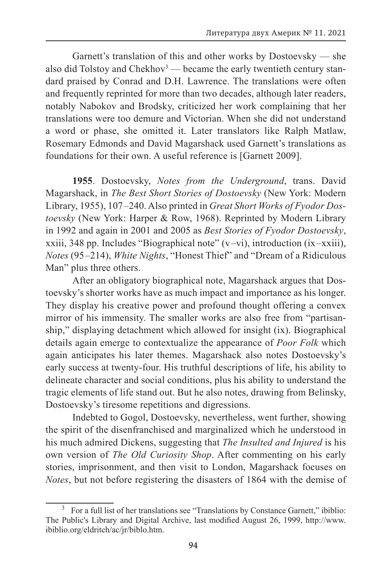Garnett's translation of this and other works by Dostoevsky — she also did Tolstoy and Chekhov<sup>3</sup> — became the early twentieth century standard praised by Conrad and D.H. Lawrence. The translations were often and frequently reprinted for more than two decades, although later readers, notably Nabokov and Brodsky, criticized her work complaining that her translations were too demure and Victorian. When she did not understand a word or phase, she omitted it. Later translators like Ralph Matlaw, Rosemary Edmonds and David Magarshack used Garnett's translations as foundations for their own. A useful reference is [Garnett 2009].

**1955**. Dostoevsky, *Notes from the Underground*, trans. David Magarshack, in *The Best Short Stories of Dostoevsky* (New York: Modern Library, 1955), 107 –240. Also printed in *Great Short Works of Fyodor Dostoevsky* (New York: Harper & Row, 1968). Reprinted by Modern Library in 1992 and again in 2001 and 2005 as *Best Stories of Fyodor Dostoevsky*, xxiii, 348 pp. Includes "Biographical note"  $(v$ —vi), introduction (ix—xxiii), *Notes* (95 –214), *White Nights*, "Honest Thief" and "Dream of a Ridiculous Man" plus three others.

After an obligatory biographical note, Magarshack argues that Dostoevsky's shorter works have as much impact and importance as his longer. They display his creative power and profound thought offering a convex mirror of his immensity. The smaller works are also free from "partisanship," displaying detachment which allowed for insight (ix). Biographical details again emerge to contextualize the appearance of *Poor Folk* which again anticipates his later themes. Magarshack also notes Dostoevsky's early success at twenty-four. His truthful descriptions of life, his ability to delineate character and social conditions, plus his ability to understand the tragic elements of life stand out. But he also notes, drawing from Belinsky, Dostoevsky's tiresome repetitions and digressions.

Indebted to Gogol, Dostoevsky, nevertheless, went further, showing the spirit of the disenfranchised and marginalized which he understood in his much admired Dickens, suggesting that *The Insulted and Injured* is his own version of *The Old Curiosity Shop*. After commenting on his early stories, imprisonment, and then visit to London, Magarshack focuses on *Notes*, but not before registering the disasters of 1864 with the demise of

<sup>&</sup>lt;sup>3</sup> For a full list of her translations see "Translations by Constance Garnett," ibiblio: The Public's Library and Digital Archive, last modified August 26, 1999, http://www. ibiblio.org/eldritch/ac/jr/biblo.htm.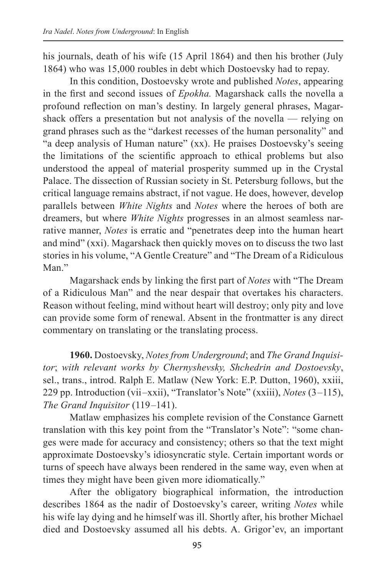his journals, death of his wife (15 April 1864) and then his brother (July 1864) who was 15,000 roubles in debt which Dostoevsky had to repay.

In this condition, Dostoevsky wrote and published *Notes*, appearing in the first and second issues of *Epokha.* Magarshack calls the novella a profound reflection on man's destiny. In largely general phrases, Magarshack offers a presentation but not analysis of the novella — relying on grand phrases such as the "darkest recesses of the human personality" and "a deep analysis of Human nature" (xx). He praises Dostoevsky's seeing the limitations of the scientific approach to ethical problems but also understood the appeal of material prosperity summed up in the Crystal Palace. The dissection of Russian society in St. Petersburg follows, but the critical language remains abstract, if not vague. He does, however, develop parallels between *White Nights* and *Notes* where the heroes of both are dreamers, but where *White Nights* progresses in an almost seamless narrative manner, *Notes* is erratic and "penetrates deep into the human heart and mind" (xxi). Magarshack then quickly moves on to discuss the two last stories in his volume, "A Gentle Creature" and "The Dream of a Ridiculous Man<sup>"</sup>

Magarshack ends by linking the first part of *Notes* with "The Dream of a Ridiculous Man" and the near despair that overtakes his characters. Reason without feeling, mind without heart will destroy; only pity and love can provide some form of renewal. Absent in the frontmatter is any direct commentary on translating or the translating process.

**1960.** Dostoevsky, *Notes from Underground*; and *The Grand Inquisitor*; *with relevant works by Chernyshevsky, Shchedrin and Dostoevsky*, sel., trans., introd. Ralph E. Matlaw (New York: E.P. Dutton, 1960), xxiii, 229 pp. Introduction (vii –xxii), "Translator's Note" (xxiii), *Notes* (3 –115), *The Grand Inquisitor* (119 –141).

Matlaw emphasizes his complete revision of the Constance Garnett translation with this key point from the "Translator's Note": "some changes were made for accuracy and consistency; others so that the text might approximate Dostoevsky's idiosyncratic style. Certain important words or turns of speech have always been rendered in the same way, even when at times they might have been given more idiomatically."

After the obligatory biographical information, the introduction describes 1864 as the nadir of Dostoevsky's career, writing *Notes* while his wife lay dying and he himself was ill. Shortly after, his brother Michael died and Dostoevsky assumed all his debts. A. Grigor'ev, an important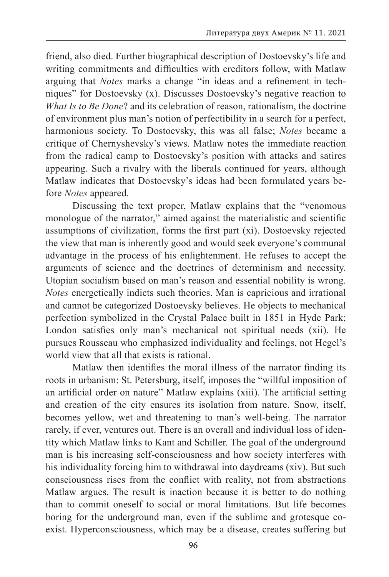friend, also died. Further biographical description of Dostoevsky's life and writing commitments and difficulties with creditors follow, with Matlaw arguing that *Notes* marks a change "in ideas and a refinement in techniques" for Dostoevsky (x). Discusses Dostoevsky's negative reaction to *What Is to Be Done*? and its celebration of reason, rationalism, the doctrine of environment plus man's notion of perfectibility in a search for a perfect, harmonious society. To Dostoevsky, this was all false; *Notes* became a critique of Chernyshevsky's views. Matlaw notes the immediate reaction from the radical camp to Dostoevsky's position with attacks and satires appearing. Such a rivalry with the liberals continued for years, although Matlaw indicates that Dostoevsky's ideas had been formulated years before *Notes* appeared.

Discussing the text proper, Matlaw explains that the "venomous monologue of the narrator," aimed against the materialistic and scientific assumptions of civilization, forms the first part (xi). Dostoevsky rejected the view that man is inherently good and would seek everyone's communal advantage in the process of his enlightenment. He refuses to accept the arguments of science and the doctrines of determinism and necessity. Utopian socialism based on man's reason and essential nobility is wrong. *Notes* energetically indicts such theories. Man is capricious and irrational and cannot be categorized Dostoevsky believes. He objects to mechanical perfection symbolized in the Crystal Palace built in 1851 in Hyde Park; London satisfies only man's mechanical not spiritual needs (xii). He pursues Rousseau who emphasized individuality and feelings, not Hegel's world view that all that exists is rational.

Matlaw then identifies the moral illness of the narrator finding its roots in urbanism: St. Petersburg, itself, imposes the "willful imposition of an artificial order on nature" Matlaw explains (xiii). The artificial setting and creation of the city ensures its isolation from nature. Snow, itself, becomes yellow, wet and threatening to man's well-being. The narrator rarely, if ever, ventures out. There is an overall and individual loss of identity which Matlaw links to Kant and Schiller. The goal of the underground man is his increasing self-consciousness and how society interferes with his individuality forcing him to withdrawal into daydreams (xiv). But such consciousness rises from the conflict with reality, not from abstractions Matlaw argues. The result is inaction because it is better to do nothing than to commit oneself to social or moral limitations. But life becomes boring for the underground man, even if the sublime and grotesque coexist. Hyperconsciousness, which may be a disease, creates suffering but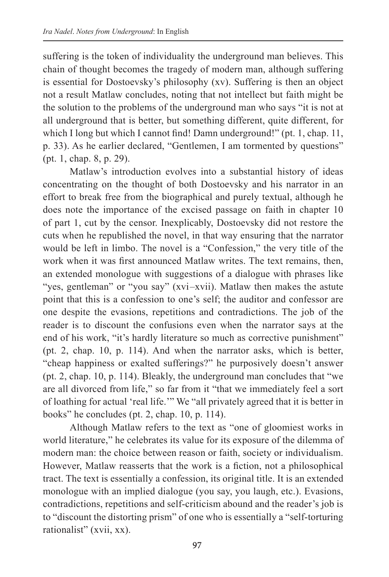suffering is the token of individuality the underground man believes. This chain of thought becomes the tragedy of modern man, although suffering is essential for Dostoevsky's philosophy (xv). Suffering is then an object not a result Matlaw concludes, noting that not intellect but faith might be the solution to the problems of the underground man who says "it is not at all underground that is better, but something different, quite different, for which I long but which I cannot find! Damn underground!" (pt. 1, chap. 11, p. 33). As he earlier declared, "Gentlemen, I am tormented by questions" (pt. 1, chap. 8, p. 29).

Matlaw's introduction evolves into a substantial history of ideas concentrating on the thought of both Dostoevsky and his narrator in an effort to break free from the biographical and purely textual, although he does note the importance of the excised passage on faith in chapter 10 of part 1, cut by the censor. Inexplicably, Dostoevsky did not restore the cuts when he republished the novel, in that way ensuring that the narrator would be left in limbo. The novel is a "Confession," the very title of the work when it was first announced Matlaw writes. The text remains, then, an extended monologue with suggestions of a dialogue with phrases like "yes, gentleman" or "you say" (xvi-xvii). Matlaw then makes the astute point that this is a confession to one's self; the auditor and confessor are one despite the evasions, repetitions and contradictions. The job of the reader is to discount the confusions even when the narrator says at the end of his work, "it's hardly literature so much as corrective punishment" (pt. 2, chap. 10, p. 114). And when the narrator asks, which is better, "cheap happiness or exalted sufferings?" he purposively doesn't answer (pt. 2, chap. 10, p. 114). Bleakly, the underground man concludes that "we are all divorced from life," so far from it "that we immediately feel a sort of loathing for actual 'real life.'" We "all privately agreed that it is better in books" he concludes (pt. 2, chap. 10, p. 114).

Although Matlaw refers to the text as "one of gloomiest works in world literature," he celebrates its value for its exposure of the dilemma of modern man: the choice between reason or faith, society or individualism. However, Matlaw reasserts that the work is a fiction, not a philosophical tract. The text is essentially a confession, its original title. It is an extended monologue with an implied dialogue (you say, you laugh, etc.). Evasions, contradictions, repetitions and self-criticism abound and the reader's job is to "discount the distorting prism" of one who is essentially a "self-torturing rationalist" (xvii, xx).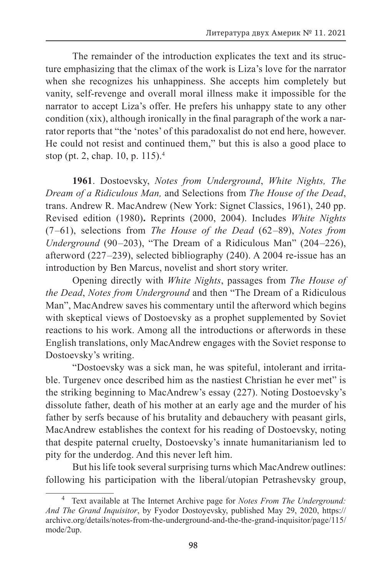The remainder of the introduction explicates the text and its structure emphasizing that the climax of the work is Liza's love for the narrator when she recognizes his unhappiness. She accepts him completely but vanity, self-revenge and overall moral illness make it impossible for the narrator to accept Liza's offer. He prefers his unhappy state to any other condition (xix), although ironically in the final paragraph of the work a narrator reports that "the 'notes' of this paradoxalist do not end here, however. He could not resist and continued them," but this is also a good place to stop (pt. 2, chap. 10, p. 115).4

**1961**. Dostoevsky, *Notes from Underground*, *White Nights, The Dream of a Ridiculous Man,* and Selections from *The House of the Dead*, trans. Andrew R. MacAndrew (New York: Signet Classics, 1961), 240 pp. Revised edition (1980)**.** Reprints (2000, 2004). Includes *White Nights* (7 –61), selections from *The House of the Dead* (62 –89), *Notes from Underground* (90–203), "The Dream of a Ridiculous Man" (204–226), afterword (227 –239), selected bibliography (240). A 2004 re-issue has an introduction by Ben Marcus, novelist and short story writer.

Opening directly with *White Nights*, passages from *The House of the Dead*, *Notes from Underground* and then "The Dream of a Ridiculous Man", MacAndrew saves his commentary until the afterword which begins with skeptical views of Dostoevsky as a prophet supplemented by Soviet reactions to his work. Among all the introductions or afterwords in these English translations, only MacAndrew engages with the Soviet response to Dostoevsky's writing.

"Dostoevsky was a sick man, he was spiteful, intolerant and irritable. Turgenev once described him as the nastiest Christian he ever met" is the striking beginning to MacAndrew's essay (227). Noting Dostoevsky's dissolute father, death of his mother at an early age and the murder of his father by serfs because of his brutality and debauchery with peasant girls, MacAndrew establishes the context for his reading of Dostoevsky, noting that despite paternal cruelty, Dostoevsky's innate humanitarianism led to pity for the underdog. And this never left him.

But his life took several surprising turns which MacAndrew outlines: following his participation with the liberal/utopian Petrashevsky group,

<sup>4</sup> Text available at The Internet Archive page for *Notes From The Underground: And The Grand Inquisitor*, by Fyodor Dostoyevsky, published May 29, 2020, https:// archive.org/details/notes-from-the-underground-and-the-the-grand-inquisitor/page/115/ mode/2up.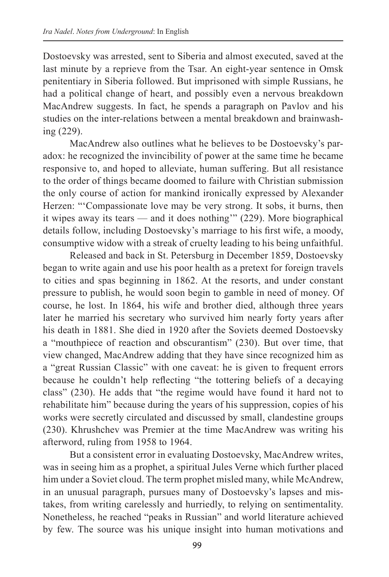Dostoevsky was arrested, sent to Siberia and almost executed, saved at the last minute by a reprieve from the Tsar. An eight-year sentence in Omsk penitentiary in Siberia followed. But imprisoned with simple Russians, he had a political change of heart, and possibly even a nervous breakdown MacAndrew suggests. In fact, he spends a paragraph on Pavlov and his studies on the inter-relations between a mental breakdown and brainwashing (229).

MacAndrew also outlines what he believes to be Dostoevsky's paradox: he recognized the invincibility of power at the same time he became responsive to, and hoped to alleviate, human suffering. But all resistance to the order of things became doomed to failure with Christian submission the only course of action for mankind ironically expressed by Alexander Herzen: "ʻCompassionate love may be very strong. It sobs, it burns, then it wipes away its tears — and it does nothing'" (229). More biographical details follow, including Dostoevsky's marriage to his first wife, a moody, consumptive widow with a streak of cruelty leading to his being unfaithful.

Released and back in St. Petersburg in December 1859, Dostoevsky began to write again and use his poor health as a pretext for foreign travels to cities and spas beginning in 1862. At the resorts, and under constant pressure to publish, he would soon begin to gamble in need of money. Of course, he lost. In 1864, his wife and brother died, although three years later he married his secretary who survived him nearly forty years after his death in 1881. She died in 1920 after the Soviets deemed Dostoevsky a "mouthpiece of reaction and obscurantism" (230). But over time, that view changed, MacAndrew adding that they have since recognized him as a "great Russian Classic" with one caveat: he is given to frequent errors because he couldn't help reflecting "the tottering beliefs of a decaying class" (230). He adds that "the regime would have found it hard not to rehabilitate him" because during the years of his suppression, copies of his works were secretly circulated and discussed by small, clandestine groups (230). Khrushchev was Premier at the time MacAndrew was writing his afterword, ruling from 1958 to 1964.

But a consistent error in evaluating Dostoevsky, MacAndrew writes, was in seeing him as a prophet, a spiritual Jules Verne which further placed him under a Soviet cloud. The term prophet misled many, while McAndrew, in an unusual paragraph, pursues many of Dostoevsky's lapses and mistakes, from writing carelessly and hurriedly, to relying on sentimentality. Nonetheless, he reached "peaks in Russian" and world literature achieved by few. The source was his unique insight into human motivations and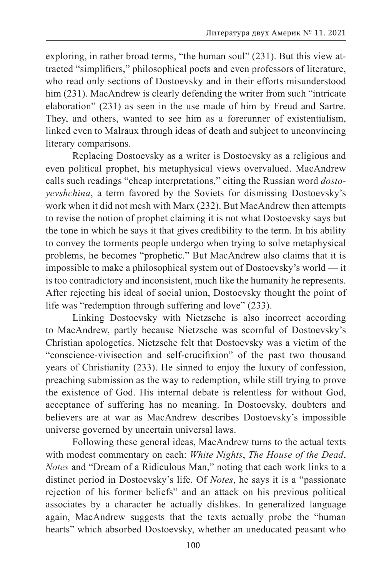exploring, in rather broad terms, "the human soul" (231). But this view attracted "simplifiers," philosophical poets and even professors of literature, who read only sections of Dostoevsky and in their efforts misunderstood him (231). MacAndrew is clearly defending the writer from such "intricate" elaboration" (231) as seen in the use made of him by Freud and Sartre. They, and others, wanted to see him as a forerunner of existentialism, linked even to Malraux through ideas of death and subject to unconvincing literary comparisons.

Replacing Dostoevsky as a writer is Dostoevsky as a religious and even political prophet, his metaphysical views overvalued. MacAndrew calls such readings "cheap interpretations," citing the Russian word *dostoyevshchina*, a term favored by the Soviets for dismissing Dostoevsky's work when it did not mesh with Marx (232). But MacAndrew then attempts to revise the notion of prophet claiming it is not what Dostoevsky says but the tone in which he says it that gives credibility to the term. In his ability to convey the torments people undergo when trying to solve metaphysical problems, he becomes "prophetic." But MacAndrew also claims that it is impossible to make a philosophical system out of Dostoevsky's world — it is too contradictory and inconsistent, much like the humanity he represents. After rejecting his ideal of social union, Dostoevsky thought the point of life was "redemption through suffering and love" (233).

Linking Dostoevsky with Nietzsche is also incorrect according to MacAndrew, partly because Nietzsche was scornful of Dostoevsky's Christian apologetics. Nietzsche felt that Dostoevsky was a victim of the "conscience-vivisection and self-crucifixion" of the past two thousand years of Christianity (233). He sinned to enjoy the luxury of confession, preaching submission as the way to redemption, while still trying to prove the existence of God. His internal debate is relentless for without God, acceptance of suffering has no meaning. In Dostoevsky, doubters and believers are at war as MacAndrew describes Dostoevsky's impossible universe governed by uncertain universal laws.

Following these general ideas, MacAndrew turns to the actual texts with modest commentary on each: *White Nights*, *The House of the Dead*, *Notes* and "Dream of a Ridiculous Man," noting that each work links to a distinct period in Dostoevsky's life. Of *Notes*, he says it is a "passionate rejection of his former beliefs" and an attack on his previous political associates by a character he actually dislikes. In generalized language again, MacAndrew suggests that the texts actually probe the "human hearts" which absorbed Dostoevsky, whether an uneducated peasant who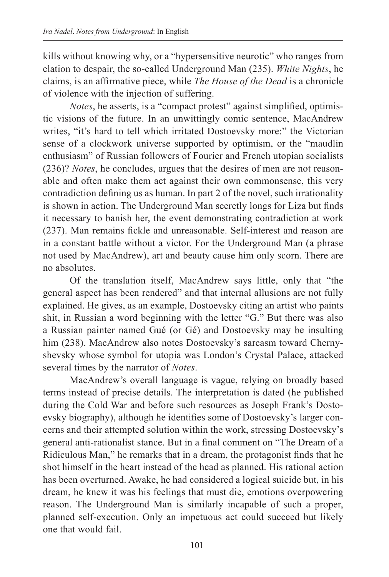kills without knowing why, or a "hypersensitive neurotic" who ranges from elation to despair, the so-called Underground Man (235). *White Nights*, he claims, is an affirmative piece, while *The House of the Dead* is a chronicle of violence with the injection of suffering.

*Notes*, he asserts, is a "compact protest" against simplified, optimistic visions of the future. In an unwittingly comic sentence, MacAndrew writes, "it's hard to tell which irritated Dostoevsky more:" the Victorian sense of a clockwork universe supported by optimism, or the "maudlin enthusiasm" of Russian followers of Fourier and French utopian socialists (236)? *Notes*, he concludes, argues that the desires of men are not reasonable and often make them act against their own commonsense, this very contradiction defining us as human. In part 2 of the novel, such irrationality is shown in action. The Underground Man secretly longs for Liza but finds it necessary to banish her, the event demonstrating contradiction at work (237). Man remains fickle and unreasonable. Self-interest and reason are in a constant battle without a victor. For the Underground Man (a phrase not used by MacAndrew), art and beauty cause him only scorn. There are no absolutes.

Of the translation itself, MacAndrew says little, only that "the general aspect has been rendered" and that internal allusions are not fully explained. He gives, as an example, Dostoevsky citing an artist who paints shit, in Russian a word beginning with the letter "G." But there was also a Russian painter named Gué (or Gé) and Dostoevsky may be insulting him (238). MacAndrew also notes Dostoevsky's sarcasm toward Chernyshevsky whose symbol for utopia was London's Crystal Palace, attacked several times by the narrator of *Notes*.

MacAndrew's overall language is vague, relying on broadly based terms instead of precise details. The interpretation is dated (he published during the Cold War and before such resources as Joseph Frank's Dostoevsky biography), although he identifies some of Dostoevsky's larger concerns and their attempted solution within the work, stressing Dostoevsky's general anti-rationalist stance. But in a final comment on "The Dream of a Ridiculous Man," he remarks that in a dream, the protagonist finds that he shot himself in the heart instead of the head as planned. His rational action has been overturned. Awake, he had considered a logical suicide but, in his dream, he knew it was his feelings that must die, emotions overpowering reason. The Underground Man is similarly incapable of such a proper, planned self-execution. Only an impetuous act could succeed but likely one that would fail.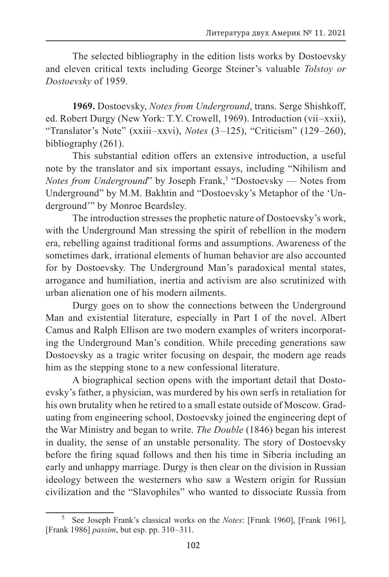The selected bibliography in the edition lists works by Dostoevsky and eleven critical texts including George Steiner's valuable *Tolstoy or Dostoevsky* of 1959.

**1969.** Dostoevsky, *Notes from Underground*, trans. Serge Shishkoff, ed. Robert Durgy (New York: T.Y. Crowell, 1969). Introduction (vii –xxii), "Translator's Note" (xxiii–xxvi), *Notes* (3–125), "Criticism" (129–260), bibliography (261).

This substantial edition offers an extensive introduction, a useful note by the translator and six important essays, including "Nihilism and *Notes from Underground*" by Joseph Frank,<sup>5</sup> "Dostoevsky — Notes from Underground" by M.M. Bakhtin and "Dostoevsky's Metaphor of the 'Underground'" by Monroe Beardsley.

The introduction stresses the prophetic nature of Dostoevsky's work, with the Underground Man stressing the spirit of rebellion in the modern era, rebelling against traditional forms and assumptions. Awareness of the sometimes dark, irrational elements of human behavior are also accounted for by Dostoevsky. The Underground Man's paradoxical mental states, arrogance and humiliation, inertia and activism are also scrutinized with urban alienation one of his modern ailments.

Durgy goes on to show the connections between the Underground Man and existential literature, especially in Part I of the novel. Albert Camus and Ralph Ellison are two modern examples of writers incorporating the Underground Man's condition. While preceding generations saw Dostoevsky as a tragic writer focusing on despair, the modern age reads him as the stepping stone to a new confessional literature.

A biographical section opens with the important detail that Dostoevsky's father, a physician, was murdered by his own serfs in retaliation for his own brutality when he retired to a small estate outside of Moscow. Graduating from engineering school, Dostoevsky joined the engineering dept of the War Ministry and began to write. *The Double* (1846) began his interest in duality, the sense of an unstable personality. The story of Dostoevsky before the firing squad follows and then his time in Siberia including an early and unhappy marriage. Durgy is then clear on the division in Russian ideology between the westerners who saw a Western origin for Russian civilization and the "Slavophiles" who wanted to dissociate Russia from

<sup>5</sup> See Joseph Frank's classical works on the *Notes*: [Frank 1960], [Frank 1961], [Frank 1986] *passim*, but esp. pp. 310 –311.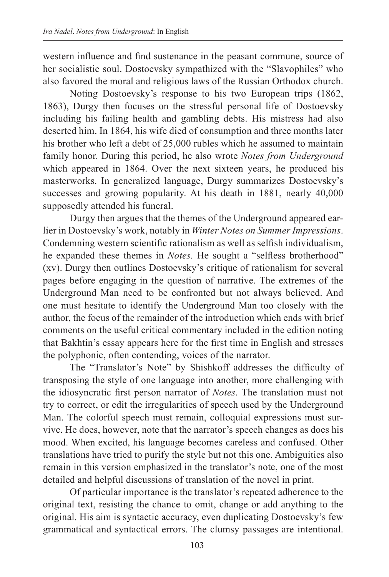western influence and find sustenance in the peasant commune, source of her socialistic soul. Dostoevsky sympathized with the "Slavophiles" who also favored the moral and religious laws of the Russian Orthodox church.

Noting Dostoevsky's response to his two European trips (1862, 1863), Durgy then focuses on the stressful personal life of Dostoevsky including his failing health and gambling debts. His mistress had also deserted him. In 1864, his wife died of consumption and three months later his brother who left a debt of 25,000 rubles which he assumed to maintain family honor. During this period, he also wrote *Notes from Underground* which appeared in 1864. Over the next sixteen years, he produced his masterworks. In generalized language, Durgy summarizes Dostoevsky's successes and growing popularity. At his death in 1881, nearly 40,000 supposedly attended his funeral.

Durgy then argues that the themes of the Underground appeared earlier in Dostoevsky's work, notably in *Winter Notes on Summer Impressions*. Condemning western scientific rationalism as well as selfish individualism, he expanded these themes in *Notes.* He sought a "selfless brotherhood" (xv). Durgy then outlines Dostoevsky's critique of rationalism for several pages before engaging in the question of narrative. The extremes of the Underground Man need to be confronted but not always believed. And one must hesitate to identify the Underground Man too closely with the author, the focus of the remainder of the introduction which ends with brief comments on the useful critical commentary included in the edition noting that Bakhtin's essay appears here for the first time in English and stresses the polyphonic, often contending, voices of the narrator.

The "Translator's Note" by Shishkoff addresses the difficulty of transposing the style of one language into another, more challenging with the idiosyncratic first person narrator of *Notes*. The translation must not try to correct, or edit the irregularities of speech used by the Underground Man. The colorful speech must remain, colloquial expressions must survive. He does, however, note that the narrator's speech changes as does his mood. When excited, his language becomes careless and confused. Other translations have tried to purify the style but not this one. Ambiguities also remain in this version emphasized in the translator's note, one of the most detailed and helpful discussions of translation of the novel in print.

Of particular importance is the translator's repeated adherence to the original text, resisting the chance to omit, change or add anything to the original. His aim is syntactic accuracy, even duplicating Dostoevsky's few grammatical and syntactical errors. The clumsy passages are intentional.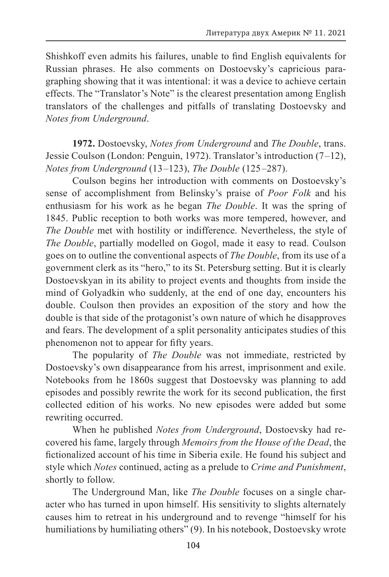Shishkoff even admits his failures, unable to find English equivalents for Russian phrases. He also comments on Dostoevsky's capricious paragraphing showing that it was intentional: it was a device to achieve certain effects. The "Translator's Note" is the clearest presentation among English translators of the challenges and pitfalls of translating Dostoevsky and *Notes from Underground*.

**1972.** Dostoevsky, *Notes from Underground* and *The Double*, trans. Jessie Coulson (London: Penguin, 1972). Translator's introduction (7 –12), *Notes from Underground* (13 –123), *The Double* (125 –287).

Coulson begins her introduction with comments on Dostoevsky's sense of accomplishment from Belinsky's praise of *Poor Folk* and his enthusiasm for his work as he began *The Double*. It was the spring of 1845. Public reception to both works was more tempered, however, and *The Double* met with hostility or indifference. Nevertheless, the style of *The Double*, partially modelled on Gogol, made it easy to read. Coulson goes on to outline the conventional aspects of *The Double*, from its use of a government clerk as its "hero," to its St. Petersburg setting. But it is clearly Dostoevskyan in its ability to project events and thoughts from inside the mind of Golyadkin who suddenly, at the end of one day, encounters his double. Coulson then provides an exposition of the story and how the double is that side of the protagonist's own nature of which he disapproves and fears. The development of a split personality anticipates studies of this phenomenon not to appear for fifty years.

The popularity of *The Double* was not immediate, restricted by Dostoevsky's own disappearance from his arrest, imprisonment and exile. Notebooks from he 1860s suggest that Dostoevsky was planning to add episodes and possibly rewrite the work for its second publication, the first collected edition of his works. No new episodes were added but some rewriting occurred.

When he published *Notes from Underground*, Dostoevsky had recovered his fame, largely through *Memoirs from the House of the Dead*, the fictionalized account of his time in Siberia exile. He found his subject and style which *Notes* continued, acting as a prelude to *Crime and Punishment*, shortly to follow.

The Underground Man, like *The Double* focuses on a single character who has turned in upon himself. His sensitivity to slights alternately causes him to retreat in his underground and to revenge "himself for his humiliations by humiliating others" (9). In his notebook, Dostoevsky wrote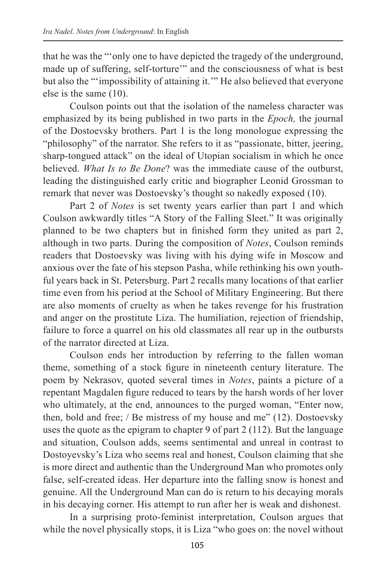that he was the "'only one to have depicted the tragedy of the underground, made up of suffering, self-torture'" and the consciousness of what is best but also the "'impossibility of attaining it.'" He also believed that everyone else is the same (10).

Coulson points out that the isolation of the nameless character was emphasized by its being published in two parts in the *Epoch,* the journal of the Dostoevsky brothers. Part 1 is the long monologue expressing the "philosophy" of the narrator. She refers to it as "passionate, bitter, jeering, sharp-tongued attack" on the ideal of Utopian socialism in which he once believed. *What Is to Be Done*? was the immediate cause of the outburst, leading the distinguished early critic and biographer Leonid Grossman to remark that never was Dostoevsky's thought so nakedly exposed (10).

Part 2 of *Notes* is set twenty years earlier than part 1 and which Coulson awkwardly titles "A Story of the Falling Sleet." It was originally planned to be two chapters but in finished form they united as part 2, although in two parts. During the composition of *Notes*, Coulson reminds readers that Dostoevsky was living with his dying wife in Moscow and anxious over the fate of his stepson Pasha, while rethinking his own youthful years back in St. Petersburg. Part 2 recalls many locations of that earlier time even from his period at the School of Military Engineering. But there are also moments of cruelty as when he takes revenge for his frustration and anger on the prostitute Liza. The humiliation, rejection of friendship, failure to force a quarrel on his old classmates all rear up in the outbursts of the narrator directed at Liza.

Coulson ends her introduction by referring to the fallen woman theme, something of a stock figure in nineteenth century literature. The poem by Nekrasov, quoted several times in *Notes*, paints a picture of a repentant Magdalen figure reduced to tears by the harsh words of her lover who ultimately, at the end, announces to the purged woman, "Enter now, then, bold and free; / Be mistress of my house and me" (12). Dostoevsky uses the quote as the epigram to chapter 9 of part 2 (112). But the language and situation, Coulson adds, seems sentimental and unreal in contrast to Dostoyevsky's Liza who seems real and honest, Coulson claiming that she is more direct and authentic than the Underground Man who promotes only false, self-created ideas. Her departure into the falling snow is honest and genuine. All the Underground Man can do is return to his decaying morals in his decaying corner. His attempt to run after her is weak and dishonest.

In a surprising proto-feminist interpretation, Coulson argues that while the novel physically stops, it is Liza "who goes on: the novel without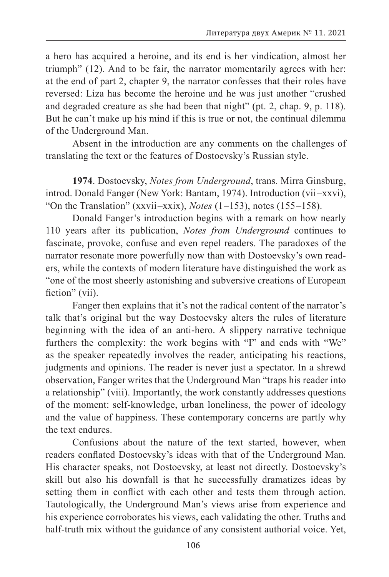a hero has acquired a heroine, and its end is her vindication, almost her triumph" (12). And to be fair, the narrator momentarily agrees with her: at the end of part 2, chapter 9, the narrator confesses that their roles have reversed: Liza has become the heroine and he was just another "crushed and degraded creature as she had been that night" (pt. 2, chap. 9, p. 118). But he can't make up his mind if this is true or not, the continual dilemma of the Underground Man.

Absent in the introduction are any comments on the challenges of translating the text or the features of Dostoevsky's Russian style.

**1974**. Dostoevsky, *Notes from Underground*, trans. Mirra Ginsburg, introd. Donald Fanger (New York: Bantam, 1974). Introduction (vii –xxvi), "On the Translation" (xxvii –xxix), *Notes* (1 –153), notes (155 –158).

Donald Fanger's introduction begins with a remark on how nearly 110 years after its publication, *Notes from Underground* continues to fascinate, provoke, confuse and even repel readers. The paradoxes of the narrator resonate more powerfully now than with Dostoevsky's own readers, while the contexts of modern literature have distinguished the work as "one of the most sheerly astonishing and subversive creations of European fiction" (vii).

Fanger then explains that it's not the radical content of the narrator's talk that's original but the way Dostoevsky alters the rules of literature beginning with the idea of an anti-hero. A slippery narrative technique furthers the complexity: the work begins with "I" and ends with "We" as the speaker repeatedly involves the reader, anticipating his reactions, judgments and opinions. The reader is never just a spectator. In a shrewd observation, Fanger writes that the Underground Man "traps his reader into a relationship" (viii). Importantly, the work constantly addresses questions of the moment: self-knowledge, urban loneliness, the power of ideology and the value of happiness. These contemporary concerns are partly why the text endures.

Confusions about the nature of the text started, however, when readers conflated Dostoevsky's ideas with that of the Underground Man. His character speaks, not Dostoevsky, at least not directly. Dostoevsky's skill but also his downfall is that he successfully dramatizes ideas by setting them in conflict with each other and tests them through action. Tautologically, the Underground Man's views arise from experience and his experience corroborates his views, each validating the other. Truths and half-truth mix without the guidance of any consistent authorial voice. Yet,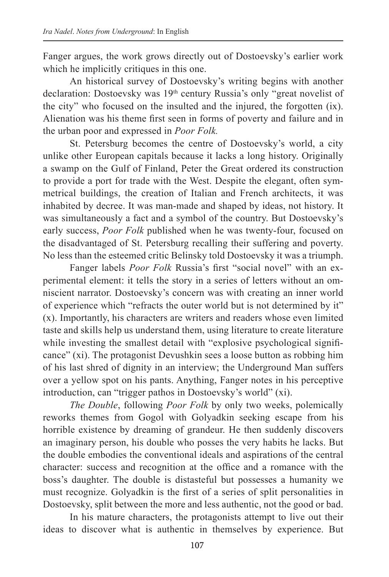Fanger argues, the work grows directly out of Dostoevsky's earlier work which he implicitly critiques in this one.

An historical survey of Dostoevsky's writing begins with another declaration: Dostoevsky was 19<sup>th</sup> century Russia's only "great novelist of the city" who focused on the insulted and the injured, the forgotten (ix). Alienation was his theme first seen in forms of poverty and failure and in the urban poor and expressed in *Poor Folk.*

St. Petersburg becomes the centre of Dostoevsky's world, a city unlike other European capitals because it lacks a long history. Originally a swamp on the Gulf of Finland, Peter the Great ordered its construction to provide a port for trade with the West. Despite the elegant, often symmetrical buildings, the creation of Italian and French architects, it was inhabited by decree. It was man-made and shaped by ideas, not history. It was simultaneously a fact and a symbol of the country. But Dostoevsky's early success, *Poor Folk* published when he was twenty-four, focused on the disadvantaged of St. Petersburg recalling their suffering and poverty. No less than the esteemed critic Belinsky told Dostoevsky it was a triumph.

Fanger labels *Poor Folk* Russia's first "social novel" with an experimental element: it tells the story in a series of letters without an omniscient narrator. Dostoevsky's concern was with creating an inner world of experience which "refracts the outer world but is not determined by it" (x). Importantly, his characters are writers and readers whose even limited taste and skills help us understand them, using literature to create literature while investing the smallest detail with "explosive psychological significance" (xi). The protagonist Devushkin sees a loose button as robbing him of his last shred of dignity in an interview; the Underground Man suffers over a yellow spot on his pants. Anything, Fanger notes in his perceptive introduction, can "trigger pathos in Dostoevsky's world" (xi).

*The Double*, following *Poor Folk* by only two weeks, polemically reworks themes from Gogol with Golyadkin seeking escape from his horrible existence by dreaming of grandeur. He then suddenly discovers an imaginary person, his double who posses the very habits he lacks. But the double embodies the conventional ideals and aspirations of the central character: success and recognition at the office and a romance with the boss's daughter. The double is distasteful but possesses a humanity we must recognize. Golyadkin is the first of a series of split personalities in Dostoevsky, split between the more and less authentic, not the good or bad.

In his mature characters, the protagonists attempt to live out their ideas to discover what is authentic in themselves by experience. But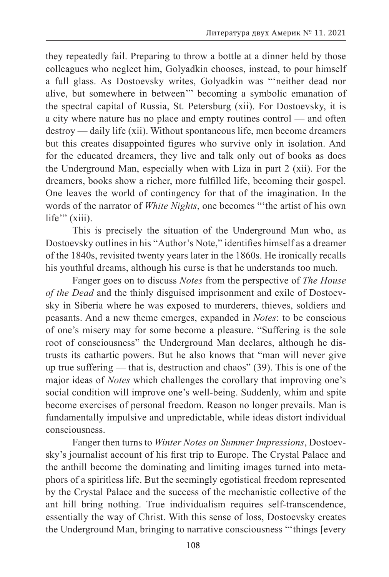they repeatedly fail. Preparing to throw a bottle at a dinner held by those colleagues who neglect him, Golyadkin chooses, instead, to pour himself a full glass. As Dostoevsky writes, Golyadkin was "'neither dead nor alive, but somewhere in between'" becoming a symbolic emanation of the spectral capital of Russia, St. Petersburg (xii). For Dostoevsky, it is a city where nature has no place and empty routines control — and often destroy — daily life (xii). Without spontaneous life, men become dreamers but this creates disappointed figures who survive only in isolation. And for the educated dreamers, they live and talk only out of books as does the Underground Man, especially when with Liza in part 2 (xii). For the dreamers, books show a richer, more fulfilled life, becoming their gospel. One leaves the world of contingency for that of the imagination. In the words of the narrator of *White Nights*, one becomes "'the artist of his own life"" (xiii).

This is precisely the situation of the Underground Man who, as Dostoevsky outlines in his "Author's Note," identifies himself as a dreamer of the 1840s, revisited twenty years later in the 1860s. He ironically recalls his youthful dreams, although his curse is that he understands too much.

Fanger goes on to discuss *Notes* from the perspective of *The House of the Dead* and the thinly disguised imprisonment and exile of Dostoevsky in Siberia where he was exposed to murderers, thieves, soldiers and peasants. And a new theme emerges, expanded in *Notes*: to be conscious of one's misery may for some become a pleasure. "Suffering is the sole root of consciousness" the Underground Man declares, although he distrusts its cathartic powers. But he also knows that "man will never give up true suffering — that is, destruction and chaos" (39). This is one of the major ideas of *Notes* which challenges the corollary that improving one's social condition will improve one's well-being. Suddenly, whim and spite become exercises of personal freedom. Reason no longer prevails. Man is fundamentally impulsive and unpredictable, while ideas distort individual consciousness.

Fanger then turns to *Winter Notes on Summer Impressions*, Dostoevsky's journalist account of his first trip to Europe. The Crystal Palace and the anthill become the dominating and limiting images turned into metaphors of a spiritless life. But the seemingly egotistical freedom represented by the Crystal Palace and the success of the mechanistic collective of the ant hill bring nothing. True individualism requires self-transcendence, essentially the way of Christ. With this sense of loss, Dostoevsky creates the Underground Man, bringing to narrative consciousness "'things [every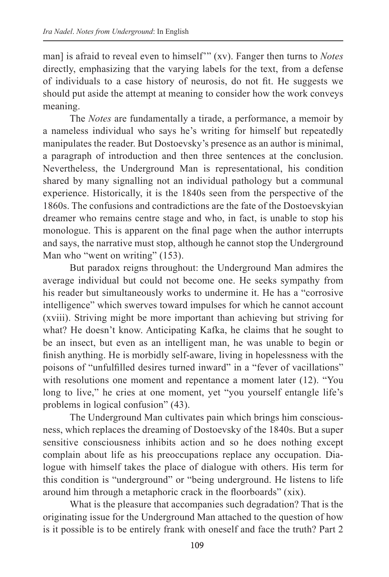man] is afraid to reveal even to himself'" (xv). Fanger then turns to *Notes* directly, emphasizing that the varying labels for the text, from a defense of individuals to a case history of neurosis, do not fit. He suggests we should put aside the attempt at meaning to consider how the work conveys meaning.

The *Notes* are fundamentally a tirade, a performance, a memoir by a nameless individual who says he's writing for himself but repeatedly manipulates the reader. But Dostoevsky's presence as an author is minimal, a paragraph of introduction and then three sentences at the conclusion. Nevertheless, the Underground Man is representational, his condition shared by many signalling not an individual pathology but a communal experience. Historically, it is the 1840s seen from the perspective of the 1860s. The confusions and contradictions are the fate of the Dostoevskyian dreamer who remains centre stage and who, in fact, is unable to stop his monologue. This is apparent on the final page when the author interrupts and says, the narrative must stop, although he cannot stop the Underground Man who "went on writing" (153).

But paradox reigns throughout: the Underground Man admires the average individual but could not become one. He seeks sympathy from his reader but simultaneously works to undermine it. He has a "corrosive intelligence" which swerves toward impulses for which he cannot account (xviii). Striving might be more important than achieving but striving for what? He doesn't know. Anticipating Kafka, he claims that he sought to be an insect, but even as an intelligent man, he was unable to begin or finish anything. He is morbidly self-aware, living in hopelessness with the poisons of "unfulfilled desires turned inward" in a "fever of vacillations" with resolutions one moment and repentance a moment later (12). "You long to live," he cries at one moment, yet "you yourself entangle life's problems in logical confusion" (43).

The Underground Man cultivates pain which brings him consciousness, which replaces the dreaming of Dostoevsky of the 1840s. But a super sensitive consciousness inhibits action and so he does nothing except complain about life as his preoccupations replace any occupation. Dialogue with himself takes the place of dialogue with others. His term for this condition is "underground" or "being underground. He listens to life around him through a metaphoric crack in the floorboards" (xix).

What is the pleasure that accompanies such degradation? That is the originating issue for the Underground Man attached to the question of how is it possible is to be entirely frank with oneself and face the truth? Part 2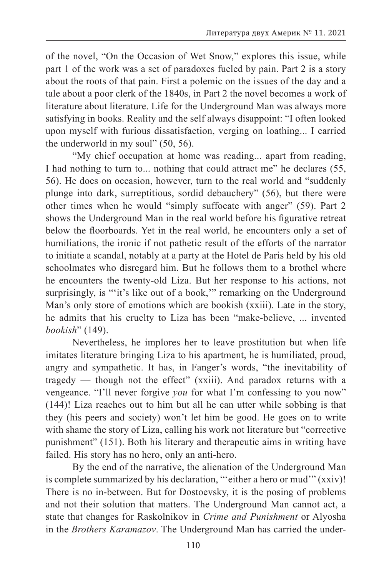of the novel, "On the Occasion of Wet Snow," explores this issue, while part 1 of the work was a set of paradoxes fueled by pain. Part 2 is a story about the roots of that pain. First a polemic on the issues of the day and a tale about a poor clerk of the 1840s, in Part 2 the novel becomes a work of literature about literature. Life for the Underground Man was always more satisfying in books. Reality and the self always disappoint: "I often looked upon myself with furious dissatisfaction, verging on loathing... I carried the underworld in my soul" (50, 56).

"My chief occupation at home was reading... apart from reading, I had nothing to turn to... nothing that could attract me" he declares (55, 56). He does on occasion, however, turn to the real world and "suddenly plunge into dark, surreptitious, sordid debauchery" (56), but there were other times when he would "simply suffocate with anger" (59). Part 2 shows the Underground Man in the real world before his figurative retreat below the floorboards. Yet in the real world, he encounters only a set of humiliations, the ironic if not pathetic result of the efforts of the narrator to initiate a scandal, notably at a party at the Hotel de Paris held by his old schoolmates who disregard him. But he follows them to a brothel where he encounters the twenty-old Liza. But her response to his actions, not surprisingly, is ""it's like out of a book," remarking on the Underground Man's only store of emotions which are bookish (xxiii). Late in the story, he admits that his cruelty to Liza has been "make-believe, ... invented *bookish*" (149).

Nevertheless, he implores her to leave prostitution but when life imitates literature bringing Liza to his apartment, he is humiliated, proud, angry and sympathetic. It has, in Fanger's words, "the inevitability of tragedy — though not the effect" (xxiii). And paradox returns with a vengeance. "I'll never forgive *you* for what I'm confessing to you now" (144)! Liza reaches out to him but all he can utter while sobbing is that they (his peers and society) won't let him be good. He goes on to write with shame the story of Liza, calling his work not literature but "corrective punishment" (151). Both his literary and therapeutic aims in writing have failed. His story has no hero, only an anti-hero.

By the end of the narrative, the alienation of the Underground Man is complete summarized by his declaration, "'either a hero or mud'" (xxiv)! There is no in-between. But for Dostoevsky, it is the posing of problems and not their solution that matters. The Underground Man cannot act, a state that changes for Raskolnikov in *Crime and Punishment* or Alyosha in the *Brothers Karamazov*. The Underground Man has carried the under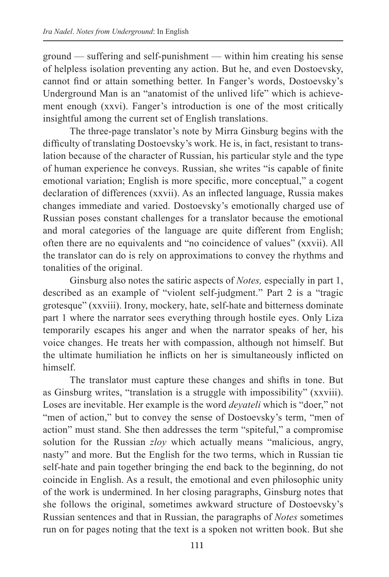ground — suffering and self-punishment — within him creating his sense of helpless isolation preventing any action. But he, and even Dostoevsky, cannot find or attain something better. In Fanger's words, Dostoevsky's Underground Man is an "anatomist of the unlived life" which is achievement enough (xxvi). Fanger's introduction is one of the most critically insightful among the current set of English translations.

The three-page translator's note by Mirra Ginsburg begins with the difficulty of translating Dostoevsky's work. He is, in fact, resistant to translation because of the character of Russian, his particular style and the type of human experience he conveys. Russian, she writes "is capable of finite emotional variation; English is more specific, more conceptual," a cogent declaration of differences (xxvii). As an inflected language, Russia makes changes immediate and varied. Dostoevsky's emotionally charged use of Russian poses constant challenges for a translator because the emotional and moral categories of the language are quite different from English; often there are no equivalents and "no coincidence of values" (xxvii). All the translator can do is rely on approximations to convey the rhythms and tonalities of the original.

Ginsburg also notes the satiric aspects of *Notes,* especially in part 1, described as an example of "violent self-judgment." Part 2 is a "tragic grotesque" (xxviii). Irony, mockery, hate, self-hate and bitterness dominate part 1 where the narrator sees everything through hostile eyes. Only Liza temporarily escapes his anger and when the narrator speaks of her, his voice changes. He treats her with compassion, although not himself. But the ultimate humiliation he inflicts on her is simultaneously inflicted on himself.

The translator must capture these changes and shifts in tone. But as Ginsburg writes, "translation is a struggle with impossibility" (xxviii). Loses are inevitable. Her example is the word *deyateli* which is "doer," not "men of action," but to convey the sense of Dostoevsky's term, "men of action" must stand. She then addresses the term "spiteful," a compromise solution for the Russian *zloy* which actually means "malicious, angry, nasty" and more. But the English for the two terms, which in Russian tie self-hate and pain together bringing the end back to the beginning, do not coincide in English. As a result, the emotional and even philosophic unity of the work is undermined. In her closing paragraphs, Ginsburg notes that she follows the original, sometimes awkward structure of Dostoevsky's Russian sentences and that in Russian, the paragraphs of *Notes* sometimes run on for pages noting that the text is a spoken not written book. But she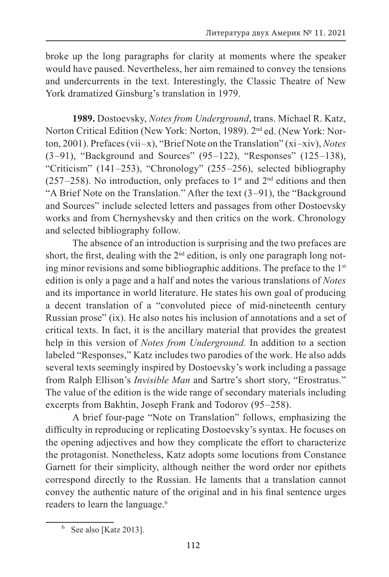broke up the long paragraphs for clarity at moments where the speaker would have paused. Nevertheless, her aim remained to convey the tensions and undercurrents in the text. Interestingly, the Classic Theatre of New York dramatized Ginsburg's translation in 1979.

**1989.** Dostoevsky, *Notes from Underground*, trans. Michael R. Katz, Norton Critical Edition (New York: Norton, 1989). 2nd ed. (New York: Norton, 2001). Prefaces (vii –x), "Brief Note on the Translation" (xi –xiv), *Notes* (3 –91), "Background and Sources" (95 –122), "Responses" (125 –138), "Criticism"  $(141–253)$ , "Chronology"  $(255–256)$ , selected bibliography  $(257–258)$ . No introduction, only prefaces to 1<sup>st</sup> and 2<sup>nd</sup> editions and then "A Brief Note on the Translation." After the text (3 –91), the "Background and Sources" include selected letters and passages from other Dostoevsky works and from Chernyshevsky and then critics on the work. Chronology and selected bibliography follow.

The absence of an introduction is surprising and the two prefaces are short, the first, dealing with the  $2<sup>nd</sup>$  edition, is only one paragraph long noting minor revisions and some bibliographic additions. The preface to the 1st edition is only a page and a half and notes the various translations of *Notes* and its importance in world literature. He states his own goal of producing a decent translation of a "convoluted piece of mid-nineteenth century Russian prose" (ix). He also notes his inclusion of annotations and a set of critical texts. In fact, it is the ancillary material that provides the greatest help in this version of *Notes from Underground.* In addition to a section labeled "Responses," Katz includes two parodies of the work. He also adds several texts seemingly inspired by Dostoevsky's work including a passage from Ralph Ellison's *Invisible Man* and Sartre's short story, "Erostratus." The value of the edition is the wide range of secondary materials including excerpts from Bakhtin, Joseph Frank and Todorov (95–258).

A brief four-page "Note on Translation" follows, emphasizing the difficulty in reproducing or replicating Dostoevsky's syntax. He focuses on the opening adjectives and how they complicate the effort to characterize the protagonist. Nonetheless, Katz adopts some locutions from Constance Garnett for their simplicity, although neither the word order nor epithets correspond directly to the Russian. He laments that a translation cannot convey the authentic nature of the original and in his final sentence urges readers to learn the language.<sup>6</sup>

See also [Katz 2013].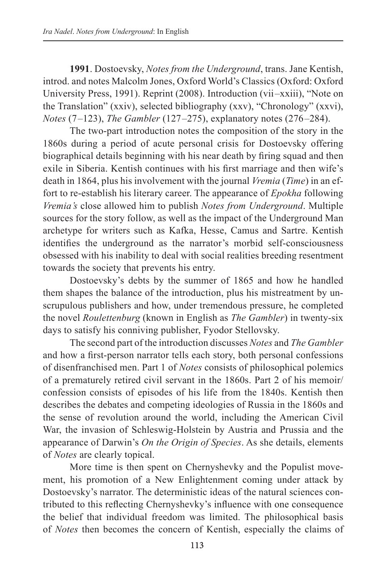**1991**. Dostoevsky, *Notes from the Underground*, trans. Jane Kentish, introd. and notes Malcolm Jones, Oxford World's Classics (Oxford: Oxford University Press, 1991). Reprint (2008). Introduction (vii –xxiii), "Note on the Translation" (xxiv), selected bibliography (xxv), "Chronology" (xxvi), *Notes* (7 –123), *The Gambler* (127 –275), explanatory notes (276 –284).

The two-part introduction notes the composition of the story in the 1860s during a period of acute personal crisis for Dostoevsky offering biographical details beginning with his near death by firing squad and then exile in Siberia. Kentish continues with his first marriage and then wife's death in 1864, plus his involvement with the journal *Vremia* (*Time*) in an effort to re-establish his literary career. The appearance of *Epokha* following *Vremia's* close allowed him to publish *Notes from Underground*. Multiple sources for the story follow, as well as the impact of the Underground Man archetype for writers such as Kafka, Hesse, Camus and Sartre. Kentish identifies the underground as the narrator's morbid self-consciousness obsessed with his inability to deal with social realities breeding resentment towards the society that prevents his entry.

Dostoevsky's debts by the summer of 1865 and how he handled them shapes the balance of the introduction, plus his mistreatment by unscrupulous publishers and how, under tremendous pressure, he completed the novel *Roulettenburg* (known in English as *The Gambler*) in twenty-six days to satisfy his conniving publisher, Fyodor Stellovsky.

The second part of the introduction discusses *Notes* and *The Gambler* and how a first-person narrator tells each story, both personal confessions of disenfranchised men. Part 1 of *Notes* consists of philosophical polemics of a prematurely retired civil servant in the 1860s. Part 2 of his memoir/ confession consists of episodes of his life from the 1840s. Kentish then describes the debates and competing ideologies of Russia in the 1860s and the sense of revolution around the world, including the American Civil War, the invasion of Schleswig-Holstein by Austria and Prussia and the appearance of Darwin's *On the Origin of Species*. As she details, elements of *Notes* are clearly topical.

More time is then spent on Chernyshevky and the Populist movement, his promotion of a New Enlightenment coming under attack by Dostoevsky's narrator. The deterministic ideas of the natural sciences contributed to this reflecting Chernyshevky's influence with one consequence the belief that individual freedom was limited. The philosophical basis of *Notes* then becomes the concern of Kentish, especially the claims of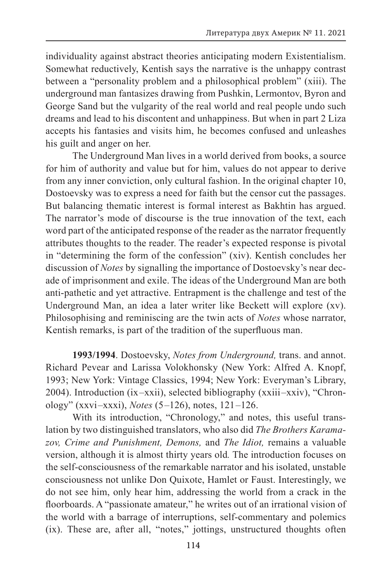individuality against abstract theories anticipating modern Existentialism. Somewhat reductively, Kentish says the narrative is the unhappy contrast between a "personality problem and a philosophical problem" (xiii). The underground man fantasizes drawing from Pushkin, Lermontov, Byron and George Sand but the vulgarity of the real world and real people undo such dreams and lead to his discontent and unhappiness. But when in part 2 Liza accepts his fantasies and visits him, he becomes confused and unleashes his guilt and anger on her.

The Underground Man lives in a world derived from books, a source for him of authority and value but for him, values do not appear to derive from any inner conviction, only cultural fashion. In the original chapter 10, Dostoevsky was to express a need for faith but the censor cut the passages. But balancing thematic interest is formal interest as Bakhtin has argued. The narrator's mode of discourse is the true innovation of the text, each word part of the anticipated response of the reader as the narrator frequently attributes thoughts to the reader. The reader's expected response is pivotal in "determining the form of the confession" (xiv). Kentish concludes her discussion of *Notes* by signalling the importance of Dostoevsky's near decade of imprisonment and exile. The ideas of the Underground Man are both anti-pathetic and yet attractive. Entrapment is the challenge and test of the Underground Man, an idea a later writer like Beckett will explore (xv). Philosophising and reminiscing are the twin acts of *Notes* whose narrator, Kentish remarks, is part of the tradition of the superfluous man.

**1993/1994**. Dostoevsky, *Notes from Underground,* trans. and annot. Richard Pevear and Larissa Volokhonsky (New York: Alfred A. Knopf, 1993; New York: Vintage Classics, 1994; New York: Everyman's Library, 2004). Introduction (ix –xxii), selected bibliography (xxiii –xxiv), "Chronology" (xxvi –xxxi), *Notes* (5 –126), notes, 121 –126.

With its introduction, "Chronology," and notes, this useful translation by two distinguished translators, who also did *The Brothers Karamazov, Crime and Punishment, Demons,* and *The Idiot,* remains a valuable version, although it is almost thirty years old*.* The introduction focuses on the self-consciousness of the remarkable narrator and his isolated, unstable consciousness not unlike Don Quixote, Hamlet or Faust. Interestingly, we do not see him, only hear him, addressing the world from a crack in the floorboards. A "passionate amateur," he writes out of an irrational vision of the world with a barrage of interruptions, self-commentary and polemics (ix). These are, after all, "notes," jottings, unstructured thoughts often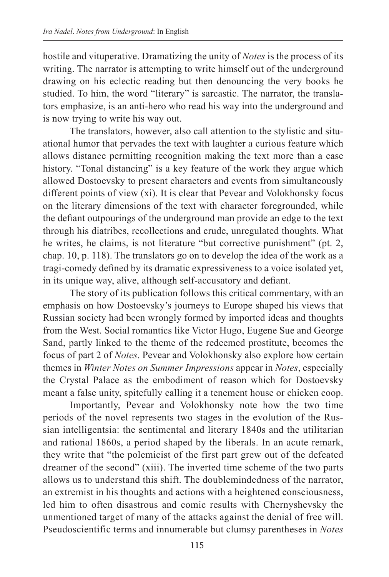hostile and vituperative. Dramatizing the unity of *Notes* is the process of its writing. The narrator is attempting to write himself out of the underground drawing on his eclectic reading but then denouncing the very books he studied. To him, the word "literary" is sarcastic. The narrator, the translators emphasize, is an anti-hero who read his way into the underground and is now trying to write his way out.

The translators, however, also call attention to the stylistic and situational humor that pervades the text with laughter a curious feature which allows distance permitting recognition making the text more than a case history. "Tonal distancing" is a key feature of the work they argue which allowed Dostoevsky to present characters and events from simultaneously different points of view (xi). It is clear that Pevear and Volokhonsky focus on the literary dimensions of the text with character foregrounded, while the defiant outpourings of the underground man provide an edge to the text through his diatribes, recollections and crude, unregulated thoughts. What he writes, he claims, is not literature "but corrective punishment" (pt. 2, chap. 10, p. 118). The translators go on to develop the idea of the work as a tragi-comedy defined by its dramatic expressiveness to a voice isolated yet, in its unique way, alive, although self-accusatory and defiant.

The story of its publication follows this critical commentary, with an emphasis on how Dostoevsky's journeys to Europe shaped his views that Russian society had been wrongly formed by imported ideas and thoughts from the West. Social romantics like Victor Hugo, Eugene Sue and George Sand, partly linked to the theme of the redeemed prostitute, becomes the focus of part 2 of *Notes*. Pevear and Volokhonsky also explore how certain themes in *Winter Notes on Summer Impressions* appear in *Notes*, especially the Crystal Palace as the embodiment of reason which for Dostoevsky meant a false unity, spitefully calling it a tenement house or chicken coop.

Importantly, Pevear and Volokhonsky note how the two time periods of the novel represents two stages in the evolution of the Russian intelligentsia: the sentimental and literary 1840s and the utilitarian and rational 1860s, a period shaped by the liberals. In an acute remark, they write that "the polemicist of the first part grew out of the defeated dreamer of the second" (xiii). The inverted time scheme of the two parts allows us to understand this shift. The doublemindedness of the narrator, an extremist in his thoughts and actions with a heightened consciousness, led him to often disastrous and comic results with Chernyshevsky the unmentioned target of many of the attacks against the denial of free will. Pseudoscientific terms and innumerable but clumsy parentheses in *Notes*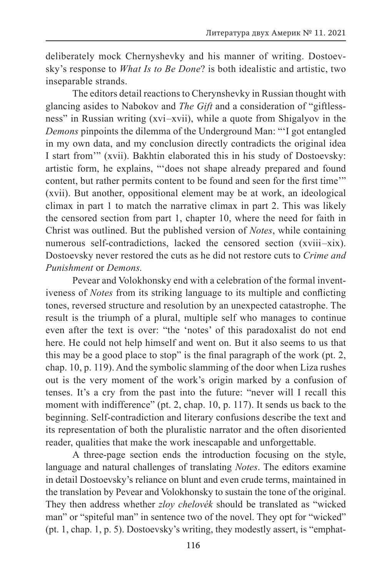deliberately mock Chernyshevky and his manner of writing. Dostoevsky's response to *What Is to Be Done*? is both idealistic and artistic, two inseparable strands.

The editors detail reactions to Cherynshevky in Russian thought with glancing asides to Nabokov and *The Gift* and a consideration of "giftlessness" in Russian writing (xvi –xvii), while a quote from Shigalyov in the *Demons* pinpoints the dilemma of the Underground Man: "'I got entangled in my own data, and my conclusion directly contradicts the original idea I start from'" (xvii). Bakhtin elaborated this in his study of Dostoevsky: artistic form, he explains, "'does not shape already prepared and found content, but rather permits content to be found and seen for the first time'" (xvii). But another, oppositional element may be at work, an ideological climax in part 1 to match the narrative climax in part 2. This was likely the censored section from part 1, chapter 10, where the need for faith in Christ was outlined. But the published version of *Notes*, while containing numerous self-contradictions, lacked the censored section (xviii–xix). Dostoevsky never restored the cuts as he did not restore cuts to *Crime and Punishment* or *Demons.*

Pevear and Volokhonsky end with a celebration of the formal inventiveness of *Notes* from its striking language to its multiple and conflicting tones, reversed structure and resolution by an unexpected catastrophe. The result is the triumph of a plural, multiple self who manages to continue even after the text is over: "the 'notes' of this paradoxalist do not end here. He could not help himself and went on. But it also seems to us that this may be a good place to stop" is the final paragraph of the work (pt. 2, chap. 10, p. 119). And the symbolic slamming of the door when Liza rushes out is the very moment of the work's origin marked by a confusion of tenses. It's a cry from the past into the future: "never will I recall this moment with indifference" (pt. 2, chap. 10, p. 117). It sends us back to the beginning. Self-contradiction and literary confusions describe the text and its representation of both the pluralistic narrator and the often disoriented reader, qualities that make the work inescapable and unforgettable.

A three-page section ends the introduction focusing on the style, language and natural challenges of translating *Notes*. The editors examine in detail Dostoevsky's reliance on blunt and even crude terms, maintained in the translation by Pevear and Volokhonsky to sustain the tone of the original. They then address whether *zloy chelovék* should be translated as "wicked man" or "spiteful man" in sentence two of the novel. They opt for "wicked" (pt. 1, chap. 1, p. 5). Dostoevsky's writing, they modestly assert, is "emphat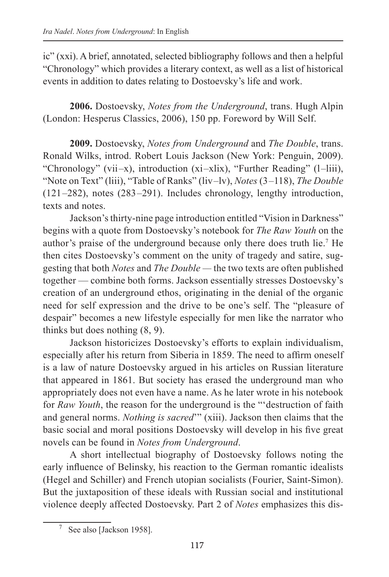ic" (xxi). A brief, annotated, selected bibliography follows and then a helpful "Chronology" which provides a literary context, as well as a list of historical events in addition to dates relating to Dostoevsky's life and work.

**2006.** Dostoevsky, *Notes from the Underground*, trans. Hugh Alpin (London: Hesperus Classics, 2006), 150 pp. Foreword by Will Self.

**2009.** Dostoevsky, *Notes from Underground* and *The Double*, trans. Ronald Wilks, introd. Robert Louis Jackson (New York: Penguin, 2009). "Chronology" (vii—x), introduction (xi—xlix), "Further Reading" (l—liii), "Note on Text" (liii), "Table of Ranks" (liv –lv), *Notes* (3 –118), *The Double* (121 –282), notes (283 –291). Includes chronology, lengthy introduction, texts and notes.

Jackson's thirty-nine page introduction entitled "Vision in Darkness" begins with a quote from Dostoevsky's notebook for *The Raw Youth* on the author's praise of the underground because only there does truth lie.7 He then cites Dostoevsky's comment on the unity of tragedy and satire, suggesting that both *Notes* and *The Double —* the two texts are often published together — combine both forms. Jackson essentially stresses Dostoevsky's creation of an underground ethos, originating in the denial of the organic need for self expression and the drive to be one's self. The "pleasure of despair" becomes a new lifestyle especially for men like the narrator who thinks but does nothing (8, 9).

Jackson historicizes Dostoevsky's efforts to explain individualism, especially after his return from Siberia in 1859. The need to affirm oneself is a law of nature Dostoevsky argued in his articles on Russian literature that appeared in 1861. But society has erased the underground man who appropriately does not even have a name. As he later wrote in his notebook for *Raw Youth*, the reason for the underground is the "'destruction of faith and general norms. *Nothing is sacred*'" (xiii). Jackson then claims that the basic social and moral positions Dostoevsky will develop in his five great novels can be found in *Notes from Underground*.

A short intellectual biography of Dostoevsky follows noting the early influence of Belinsky, his reaction to the German romantic idealists (Hegel and Schiller) and French utopian socialists (Fourier, Saint-Simon). But the juxtaposition of these ideals with Russian social and institutional violence deeply affected Dostoevsky. Part 2 of *Notes* emphasizes this dis-

<sup>7</sup> See also [Jackson 1958].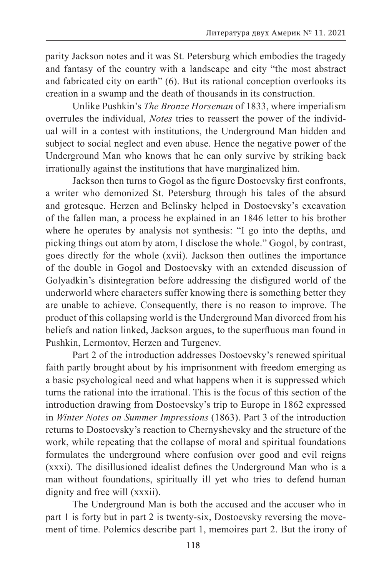parity Jackson notes and it was St. Petersburg which embodies the tragedy and fantasy of the country with a landscape and city "the most abstract and fabricated city on earth" (6). But its rational conception overlooks its creation in a swamp and the death of thousands in its construction.

Unlike Pushkin's *The Bronze Horseman* of 1833, where imperialism overrules the individual, *Notes* tries to reassert the power of the individual will in a contest with institutions, the Underground Man hidden and subject to social neglect and even abuse. Hence the negative power of the Underground Man who knows that he can only survive by striking back irrationally against the institutions that have marginalized him.

Jackson then turns to Gogol as the figure Dostoevsky first confronts, a writer who demonized St. Petersburg through his tales of the absurd and grotesque. Herzen and Belinsky helped in Dostoevsky's excavation of the fallen man, a process he explained in an 1846 letter to his brother where he operates by analysis not synthesis: "I go into the depths, and picking things out atom by atom, I disclose the whole." Gogol, by contrast, goes directly for the whole (xvii). Jackson then outlines the importance of the double in Gogol and Dostoevsky with an extended discussion of Golyadkin's disintegration before addressing the disfigured world of the underworld where characters suffer knowing there is something better they are unable to achieve. Consequently, there is no reason to improve. The product of this collapsing world is the Underground Man divorced from his beliefs and nation linked, Jackson argues, to the superfluous man found in Pushkin, Lermontov, Herzen and Turgenev.

Part 2 of the introduction addresses Dostoevsky's renewed spiritual faith partly brought about by his imprisonment with freedom emerging as a basic psychological need and what happens when it is suppressed which turns the rational into the irrational. This is the focus of this section of the introduction drawing from Dostoevsky's trip to Europe in 1862 expressed in *Winter Notes on Summer Impressions* (1863). Part 3 of the introduction returns to Dostoevsky's reaction to Chernyshevsky and the structure of the work, while repeating that the collapse of moral and spiritual foundations formulates the underground where confusion over good and evil reigns (xxxi). The disillusioned idealist defines the Underground Man who is a man without foundations, spiritually ill yet who tries to defend human dignity and free will (xxxii).

The Underground Man is both the accused and the accuser who in part 1 is forty but in part 2 is twenty-six, Dostoevsky reversing the movement of time. Polemics describe part 1, memoires part 2. But the irony of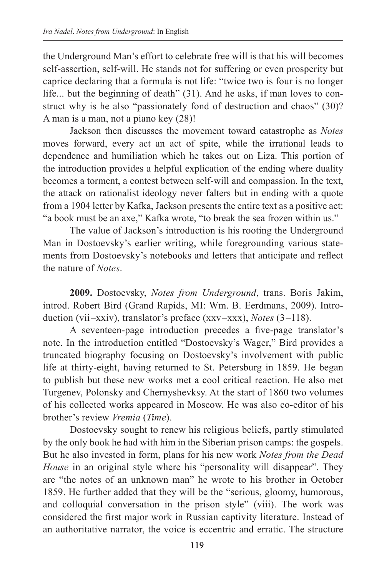the Underground Man's effort to celebrate free will is that his will becomes self-assertion, self-will. He stands not for suffering or even prosperity but caprice declaring that a formula is not life: "twice two is four is no longer life... but the beginning of death" (31). And he asks, if man loves to construct why is he also "passionately fond of destruction and chaos" (30)? A man is a man, not a piano key (28)!

Jackson then discusses the movement toward catastrophe as *Notes* moves forward, every act an act of spite, while the irrational leads to dependence and humiliation which he takes out on Liza. This portion of the introduction provides a helpful explication of the ending where duality becomes a torment, a contest between self-will and compassion. In the text, the attack on rationalist ideology never falters but in ending with a quote from a 1904 letter by Kafka, Jackson presents the entire text as a positive act: "a book must be an axe," Kafka wrote, "to break the sea frozen within us."

The value of Jackson's introduction is his rooting the Underground Man in Dostoevsky's earlier writing, while foregrounding various statements from Dostoevsky's notebooks and letters that anticipate and reflect the nature of *Notes*.

**2009.** Dostoevsky, *Notes from Underground*, trans. Boris Jakim, introd. Robert Bird (Grand Rapids, MI: Wm. B. Eerdmans, 2009). Introduction (vii –xxiv), translator's preface (xxv –xxx), *Notes* (3 –118).

A seventeen-page introduction precedes a five-page translator's note. In the introduction entitled "Dostoevsky's Wager," Bird provides a truncated biography focusing on Dostoevsky's involvement with public life at thirty-eight, having returned to St. Petersburg in 1859. He began to publish but these new works met a cool critical reaction. He also met Turgenev, Polonsky and Chernyshevksy. At the start of 1860 two volumes of his collected works appeared in Moscow. He was also co-editor of his brother's review *Vremia* (*Time*).

Dostoevsky sought to renew his religious beliefs, partly stimulated by the only book he had with him in the Siberian prison camps: the gospels. But he also invested in form, plans for his new work *Notes from the Dead House* in an original style where his "personality will disappear". They are "the notes of an unknown man" he wrote to his brother in October 1859. He further added that they will be the "serious, gloomy, humorous, and colloquial conversation in the prison style" (viii). The work was considered the first major work in Russian captivity literature. Instead of an authoritative narrator, the voice is eccentric and erratic. The structure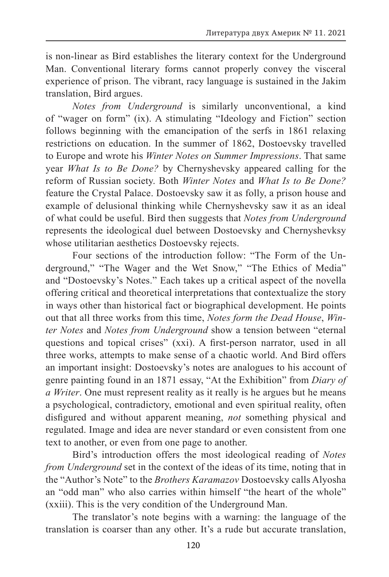is non-linear as Bird establishes the literary context for the Underground Man. Conventional literary forms cannot properly convey the visceral experience of prison. The vibrant, racy language is sustained in the Jakim translation, Bird argues.

*Notes from Underground* is similarly unconventional, a kind of "wager on form" (ix). A stimulating "Ideology and Fiction" section follows beginning with the emancipation of the serfs in 1861 relaxing restrictions on education. In the summer of 1862, Dostoevsky travelled to Europe and wrote his *Winter Notes on Summer Impressions*. That same year *What Is to Be Done?* by Chernyshevsky appeared calling for the reform of Russian society. Both *Winter Notes* and *What Is to Be Done?* feature the Crystal Palace. Dostoevsky saw it as folly, a prison house and example of delusional thinking while Chernyshevsky saw it as an ideal of what could be useful. Bird then suggests that *Notes from Underground* represents the ideological duel between Dostoevsky and Chernyshevksy whose utilitarian aesthetics Dostoevsky rejects.

Four sections of the introduction follow: "The Form of the Underground," "The Wager and the Wet Snow," "The Ethics of Media" and "Dostoevsky's Notes." Each takes up a critical aspect of the novella offering critical and theoretical interpretations that contextualize the story in ways other than historical fact or biographical development. He points out that all three works from this time, *Notes form the Dead House*, *Winter Notes* and *Notes from Underground* show a tension between "eternal questions and topical crises" (xxi). A first-person narrator, used in all three works, attempts to make sense of a chaotic world. And Bird offers an important insight: Dostoevsky's notes are analogues to his account of genre painting found in an 1871 essay, "At the Exhibition" from *Diary of a Writer*. One must represent reality as it really is he argues but he means a psychological, contradictory, emotional and even spiritual reality, often disfigured and without apparent meaning, *not* something physical and regulated. Image and idea are never standard or even consistent from one text to another, or even from one page to another.

Bird's introduction offers the most ideological reading of *Notes from Underground* set in the context of the ideas of its time, noting that in the "Author's Note" to the *Brothers Karamazov* Dostoevsky calls Alyosha an "odd man" who also carries within himself "the heart of the whole" (xxiii). This is the very condition of the Underground Man.

The translator's note begins with a warning: the language of the translation is coarser than any other. It's a rude but accurate translation,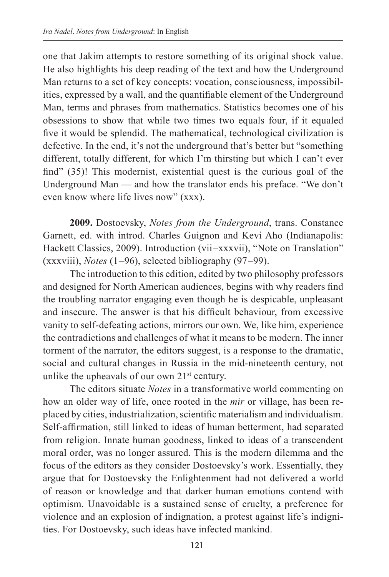one that Jakim attempts to restore something of its original shock value. He also highlights his deep reading of the text and how the Underground Man returns to a set of key concepts: vocation, consciousness, impossibilities, expressed by a wall, and the quantifiable element of the Underground Man, terms and phrases from mathematics. Statistics becomes one of his obsessions to show that while two times two equals four, if it equaled five it would be splendid. The mathematical, technological civilization is defective. In the end, it's not the underground that's better but "something different, totally different, for which I'm thirsting but which I can't ever find" (35)! This modernist, existential quest is the curious goal of the Underground Man — and how the translator ends his preface. "We don't even know where life lives now" (xxx).

**2009.** Dostoevsky, *Notes from the Underground*, trans. Constance Garnett, ed. with introd. Charles Guignon and Kevi Aho (Indianapolis: Hackett Classics, 2009). Introduction (vii–xxxvii), "Note on Translation" (xxxviii), *Notes* (1 –96), selected bibliography (97 –99).

The introduction to this edition, edited by two philosophy professors and designed for North American audiences, begins with why readers find the troubling narrator engaging even though he is despicable, unpleasant and insecure. The answer is that his difficult behaviour, from excessive vanity to self-defeating actions, mirrors our own. We, like him, experience the contradictions and challenges of what it means to be modern. The inner torment of the narrator, the editors suggest, is a response to the dramatic, social and cultural changes in Russia in the mid-nineteenth century, not unlike the upheavals of our own  $21<sup>st</sup>$  century.

The editors situate *Notes* in a transformative world commenting on how an older way of life, once rooted in the *mir* or village, has been replaced by cities, industrialization, scientific materialism and individualism. Self-affirmation, still linked to ideas of human betterment, had separated from religion. Innate human goodness, linked to ideas of a transcendent moral order, was no longer assured. This is the modern dilemma and the focus of the editors as they consider Dostoevsky's work. Essentially, they argue that for Dostoevsky the Enlightenment had not delivered a world of reason or knowledge and that darker human emotions contend with optimism. Unavoidable is a sustained sense of cruelty, a preference for violence and an explosion of indignation, a protest against life's indignities. For Dostoevsky, such ideas have infected mankind.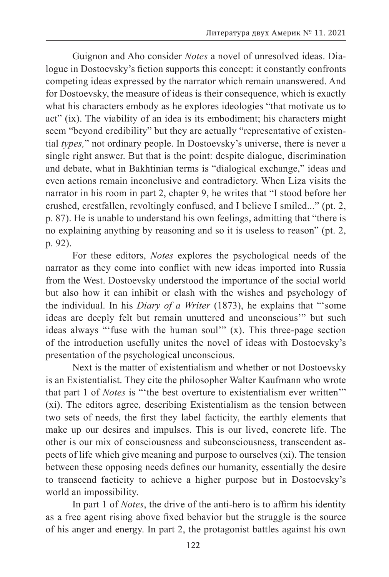Guignon and Aho consider *Notes* a novel of unresolved ideas. Dialogue in Dostoevsky's fiction supports this concept: it constantly confronts competing ideas expressed by the narrator which remain unanswered. And for Dostoevsky, the measure of ideas is their consequence, which is exactly what his characters embody as he explores ideologies "that motivate us to act" (ix). The viability of an idea is its embodiment; his characters might seem "beyond credibility" but they are actually "representative of existential *types,*" not ordinary people. In Dostoevsky's universe, there is never a single right answer. But that is the point: despite dialogue, discrimination and debate, what in Bakhtinian terms is "dialogical exchange," ideas and even actions remain inconclusive and contradictory. When Liza visits the narrator in his room in part 2, chapter 9, he writes that "I stood before her crushed, crestfallen, revoltingly confused, and I believe I smiled..." (pt. 2, p. 87). He is unable to understand his own feelings, admitting that "there is no explaining anything by reasoning and so it is useless to reason" (pt. 2, p. 92).

For these editors, *Notes* explores the psychological needs of the narrator as they come into conflict with new ideas imported into Russia from the West. Dostoevsky understood the importance of the social world but also how it can inhibit or clash with the wishes and psychology of the individual. In his *Diary of a Writer* (1873), he explains that "'some ideas are deeply felt but remain unuttered and unconscious'" but such ideas always "'fuse with the human soul'" (x). This three-page section of the introduction usefully unites the novel of ideas with Dostoevsky's presentation of the psychological unconscious.

Next is the matter of existentialism and whether or not Dostoevsky is an Existentialist. They cite the philosopher Walter Kaufmann who wrote that part 1 of *Notes* is "'the best overture to existentialism ever written'" (xi). The editors agree, describing Existentialism as the tension between two sets of needs, the first they label facticity, the earthly elements that make up our desires and impulses. This is our lived, concrete life. The other is our mix of consciousness and subconsciousness, transcendent aspects of life which give meaning and purpose to ourselves (xi). The tension between these opposing needs defines our humanity, essentially the desire to transcend facticity to achieve a higher purpose but in Dostoevsky's world an impossibility.

In part 1 of *Notes*, the drive of the anti-hero is to affirm his identity as a free agent rising above fixed behavior but the struggle is the source of his anger and energy. In part 2, the protagonist battles against his own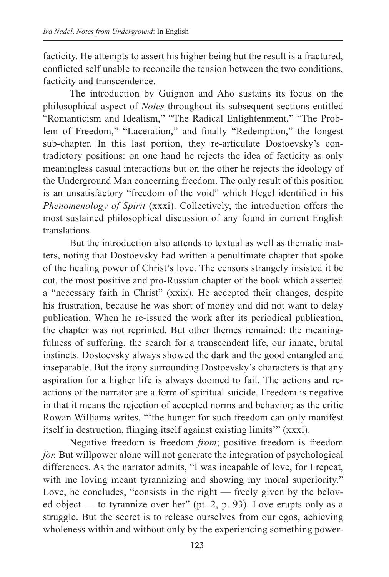facticity. He attempts to assert his higher being but the result is a fractured, conflicted self unable to reconcile the tension between the two conditions, facticity and transcendence.

The introduction by Guignon and Aho sustains its focus on the philosophical aspect of *Notes* throughout its subsequent sections entitled "Romanticism and Idealism," "The Radical Enlightenment," "The Problem of Freedom," "Laceration," and finally "Redemption," the longest sub-chapter. In this last portion, they re-articulate Dostoevsky's contradictory positions: on one hand he rejects the idea of facticity as only meaningless casual interactions but on the other he rejects the ideology of the Underground Man concerning freedom. The only result of this position is an unsatisfactory "freedom of the void" which Hegel identified in his *Phenomenology of Spirit* (xxxi). Collectively, the introduction offers the most sustained philosophical discussion of any found in current English translations.

But the introduction also attends to textual as well as thematic matters, noting that Dostoevsky had written a penultimate chapter that spoke of the healing power of Christ's love. The censors strangely insisted it be cut, the most positive and pro-Russian chapter of the book which asserted a "necessary faith in Christ" (xxix). He accepted their changes, despite his frustration, because he was short of money and did not want to delay publication. When he re-issued the work after its periodical publication, the chapter was not reprinted. But other themes remained: the meaningfulness of suffering, the search for a transcendent life, our innate, brutal instincts. Dostoevsky always showed the dark and the good entangled and inseparable. But the irony surrounding Dostoevsky's characters is that any aspiration for a higher life is always doomed to fail. The actions and reactions of the narrator are a form of spiritual suicide. Freedom is negative in that it means the rejection of accepted norms and behavior; as the critic Rowan Williams writes, "'the hunger for such freedom can only manifest itself in destruction, flinging itself against existing limits'" (xxxi).

Negative freedom is freedom *from*; positive freedom is freedom *for.* But willpower alone will not generate the integration of psychological differences. As the narrator admits, "I was incapable of love, for I repeat, with me loving meant tyrannizing and showing my moral superiority." Love, he concludes, "consists in the right — freely given by the beloved object — to tyrannize over her" (pt. 2, p. 93). Love erupts only as a struggle. But the secret is to release ourselves from our egos, achieving wholeness within and without only by the experiencing something power-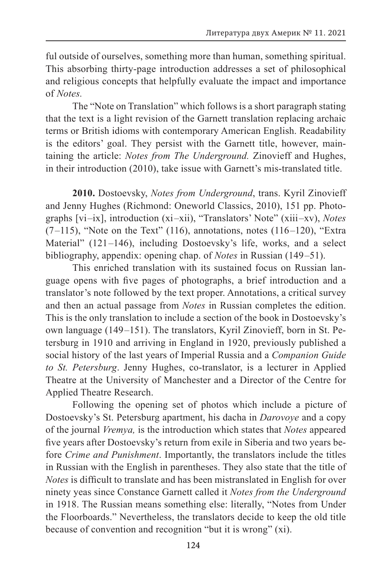ful outside of ourselves, something more than human, something spiritual. This absorbing thirty-page introduction addresses a set of philosophical and religious concepts that helpfully evaluate the impact and importance of *Notes.*

The "Note on Translation" which follows is a short paragraph stating that the text is a light revision of the Garnett translation replacing archaic terms or British idioms with contemporary American English. Readability is the editors' goal. They persist with the Garnett title, however, maintaining the article: *Notes from The Underground.* Zinovieff and Hughes, in their introduction (2010), take issue with Garnett's mis-translated title.

**2010.** Dostoevsky, *Notes from Underground*, trans. Kyril Zinovieff and Jenny Hughes (Richmond: Oneworld Classics, 2010), 151 pp. Photographs [vi –ix], introduction (xi –xii), "Translators' Note" (xiii –xv), *Notes*  $(7–115)$ , "Note on the Text" (116), annotations, notes (116–120), "Extra Material" (121–146), including Dostoevsky's life, works, and a select bibliography, appendix: opening chap. of *Notes* in Russian (149 –51).

This enriched translation with its sustained focus on Russian language opens with five pages of photographs, a brief introduction and a translator's note followed by the text proper. Annotations, a critical survey and then an actual passage from *Notes* in Russian completes the edition. This is the only translation to include a section of the book in Dostoevsky's own language (149 –151). The translators, Kyril Zinovieff, born in St. Petersburg in 1910 and arriving in England in 1920, previously published a social history of the last years of Imperial Russia and a *Companion Guide to St. Petersburg*. Jenny Hughes, co-translator, is a lecturer in Applied Theatre at the University of Manchester and a Director of the Centre for Applied Theatre Research.

Following the opening set of photos which include a picture of Dostoevsky's St. Petersburg apartment, his dacha in *Darovoye* and a copy of the journal *Vremya,* is the introduction which states that *Notes* appeared five years after Dostoevsky's return from exile in Siberia and two years before *Crime and Punishment*. Importantly, the translators include the titles in Russian with the English in parentheses. They also state that the title of *Notes* is difficult to translate and has been mistranslated in English for over ninety yeas since Constance Garnett called it *Notes from the Underground*  in 1918. The Russian means something else: literally, "Notes from Under the Floorboards." Nevertheless, the translators decide to keep the old title because of convention and recognition "but it is wrong" (xi).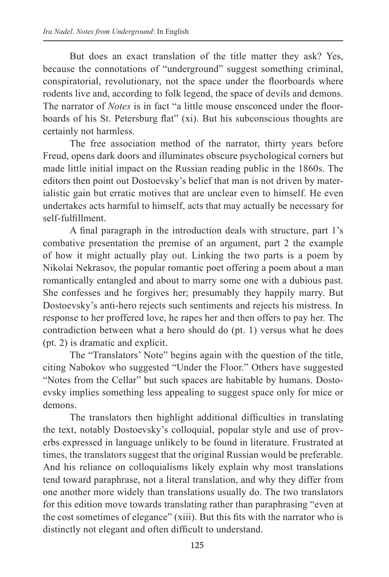But does an exact translation of the title matter they ask? Yes, because the connotations of "underground" suggest something criminal, conspiratorial, revolutionary, not the space under the floorboards where rodents live and, according to folk legend, the space of devils and demons. The narrator of *Notes* is in fact "a little mouse ensconced under the floorboards of his St. Petersburg flat" (xi). But his subconscious thoughts are certainly not harmless.

The free association method of the narrator, thirty years before Freud, opens dark doors and illuminates obscure psychological corners but made little initial impact on the Russian reading public in the 1860s. The editors then point out Dostoevsky's belief that man is not driven by materialistic gain but erratic motives that are unclear even to himself. He even undertakes acts harmful to himself, acts that may actually be necessary for self-fulfillment.

A final paragraph in the introduction deals with structure, part 1's combative presentation the premise of an argument, part 2 the example of how it might actually play out. Linking the two parts is a poem by Nikolai Nekrasov, the popular romantic poet offering a poem about a man romantically entangled and about to marry some one with a dubious past. She confesses and he forgives her; presumably they happily marry. But Dostoevsky's anti-hero rejects such sentiments and rejects his mistress. In response to her proffered love, he rapes her and then offers to pay her. The contradiction between what a hero should do (pt. 1) versus what he does (pt. 2) is dramatic and explicit.

The "Translators' Note" begins again with the question of the title, citing Nabokov who suggested "Under the Floor." Others have suggested "Notes from the Cellar" but such spaces are habitable by humans. Dostoevsky implies something less appealing to suggest space only for mice or demons.

The translators then highlight additional difficulties in translating the text, notably Dostoevsky's colloquial, popular style and use of proverbs expressed in language unlikely to be found in literature. Frustrated at times, the translators suggest that the original Russian would be preferable. And his reliance on colloquialisms likely explain why most translations tend toward paraphrase, not a literal translation, and why they differ from one another more widely than translations usually do. The two translators for this edition move towards translating rather than paraphrasing "even at the cost sometimes of elegance" (xiii). But this fits with the narrator who is distinctly not elegant and often difficult to understand.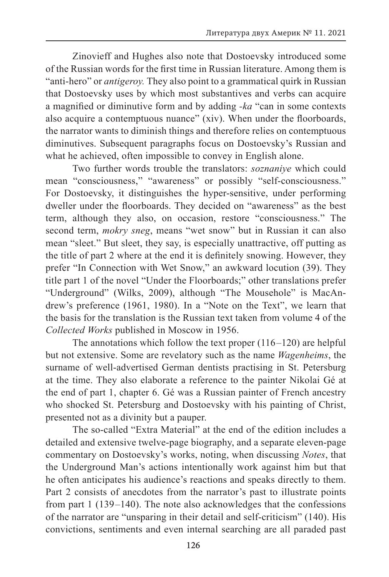Zinovieff and Hughes also note that Dostoevsky introduced some of the Russian words for the first time in Russian literature. Among them is "anti-hero" or *antigeroy.* They also point to a grammatical quirk in Russian that Dostoevsky uses by which most substantives and verbs can acquire a magnified or diminutive form and by adding *-ka* "can in some contexts also acquire a contemptuous nuance" (xiv). When under the floorboards, the narrator wants to diminish things and therefore relies on contemptuous diminutives. Subsequent paragraphs focus on Dostoevsky's Russian and what he achieved, often impossible to convey in English alone.

Two further words trouble the translators: *soznaniye* which could mean "consciousness," "awareness" or possibly "self-consciousness." For Dostoevsky, it distinguishes the hyper-sensitive, under performing dweller under the floorboards. They decided on "awareness" as the best term, although they also, on occasion, restore "consciousness." The second term, *mokry sneg*, means "wet snow" but in Russian it can also mean "sleet." But sleet, they say, is especially unattractive, off putting as the title of part 2 where at the end it is definitely snowing. However, they prefer "In Connection with Wet Snow," an awkward locution (39). They title part 1 of the novel "Under the Floorboards;" other translations prefer "Underground" (Wilks, 2009), although "The Mousehole" is MacAndrew's preference (1961, 1980). In a "Note on the Text", we learn that the basis for the translation is the Russian text taken from volume 4 of the *Collected Works* published in Moscow in 1956.

The annotations which follow the text proper  $(116–120)$  are helpful but not extensive. Some are revelatory such as the name *Wagenheims*, the surname of well-advertised German dentists practising in St. Petersburg at the time. They also elaborate a reference to the painter Nikolai Gé at the end of part 1, chapter 6. Gé was a Russian painter of French ancestry who shocked St. Petersburg and Dostoevsky with his painting of Christ, presented not as a divinity but a pauper.

The so-called "Extra Material" at the end of the edition includes a detailed and extensive twelve-page biography, and a separate eleven-page commentary on Dostoevsky's works, noting, when discussing *Notes*, that the Underground Man's actions intentionally work against him but that he often anticipates his audience's reactions and speaks directly to them. Part 2 consists of anecdotes from the narrator's past to illustrate points from part 1 (139 –140). The note also acknowledges that the confessions of the narrator are "unsparing in their detail and self-criticism" (140). His convictions, sentiments and even internal searching are all paraded past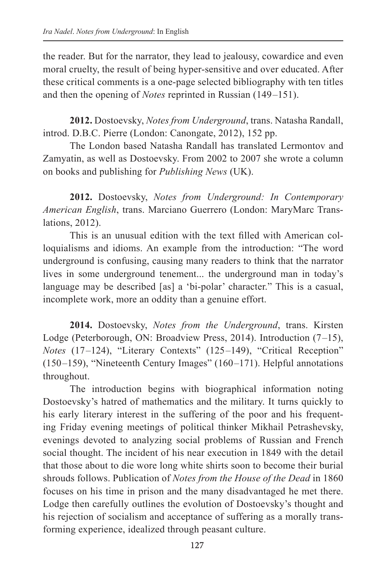the reader. But for the narrator, they lead to jealousy, cowardice and even moral cruelty, the result of being hyper-sensitive and over educated. After these critical comments is a one-page selected bibliography with ten titles and then the opening of *Notes* reprinted in Russian (149 –151).

**2012.** Dostoevsky, *Notes from Underground*, trans. Natasha Randall, introd. D.B.C. Pierre (London: Canongate, 2012), 152 pp.

The London based Natasha Randall has translated Lermontov and Zamyatin, as well as Dostoevsky. From 2002 to 2007 she wrote a column on books and publishing for *Publishing News* (UK).

**2012.** Dostoevsky, *Notes from Underground: In Contemporary American English*, trans. Marciano Guerrero (London: MaryMarc Translations, 2012).

This is an unusual edition with the text filled with American colloquialisms and idioms. An example from the introduction: "The word underground is confusing, causing many readers to think that the narrator lives in some underground tenement... the underground man in today's language may be described [as] a 'bi-polar' character." This is a casual, incomplete work, more an oddity than a genuine effort.

**2014.** Dostoevsky, *Notes from the Underground*, trans. Kirsten Lodge (Peterborough, ON: Broadview Press, 2014). Introduction (7–15), *Notes* (17–124), "Literary Contexts" (125–149), "Critical Reception" (150 –159), "Nineteenth Century Images" (160 –171). Helpful annotations throughout.

The introduction begins with biographical information noting Dostoevsky's hatred of mathematics and the military. It turns quickly to his early literary interest in the suffering of the poor and his frequenting Friday evening meetings of political thinker Mikhail Petrashevsky, evenings devoted to analyzing social problems of Russian and French social thought. The incident of his near execution in 1849 with the detail that those about to die wore long white shirts soon to become their burial shrouds follows. Publication of *Notes from the House of the Dead* in 1860 focuses on his time in prison and the many disadvantaged he met there. Lodge then carefully outlines the evolution of Dostoevsky's thought and his rejection of socialism and acceptance of suffering as a morally transforming experience, idealized through peasant culture.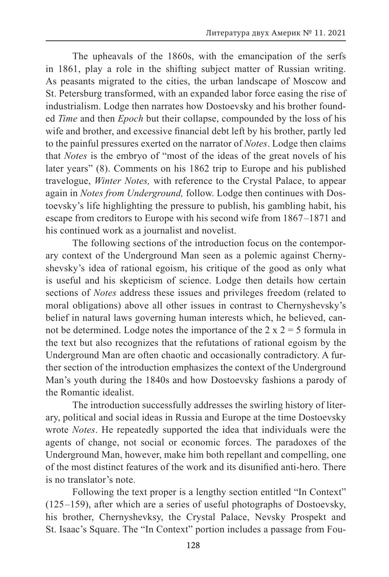The upheavals of the 1860s, with the emancipation of the serfs in 1861, play a role in the shifting subject matter of Russian writing. As peasants migrated to the cities, the urban landscape of Moscow and St. Petersburg transformed, with an expanded labor force easing the rise of industrialism. Lodge then narrates how Dostoevsky and his brother founded *Time* and then *Epoch* but their collapse, compounded by the loss of his wife and brother, and excessive financial debt left by his brother, partly led to the painful pressures exerted on the narrator of *Notes*. Lodge then claims that *Notes* is the embryo of "most of the ideas of the great novels of his later years" (8). Comments on his 1862 trip to Europe and his published travelogue, *Winter Notes,* with reference to the Crystal Palace, to appear again in *Notes from Underground,* follow. Lodge then continues with Dostoevsky's life highlighting the pressure to publish, his gambling habit, his escape from creditors to Europe with his second wife from 1867–1871 and his continued work as a journalist and novelist.

The following sections of the introduction focus on the contemporary context of the Underground Man seen as a polemic against Chernyshevsky's idea of rational egoism, his critique of the good as only what is useful and his skepticism of science. Lodge then details how certain sections of *Notes* address these issues and privileges freedom (related to moral obligations) above all other issues in contrast to Chernyshevsky's belief in natural laws governing human interests which, he believed, cannot be determined. Lodge notes the importance of the  $2 \times 2 = 5$  formula in the text but also recognizes that the refutations of rational egoism by the Underground Man are often chaotic and occasionally contradictory. A further section of the introduction emphasizes the context of the Underground Man's youth during the 1840s and how Dostoevsky fashions a parody of the Romantic idealist.

The introduction successfully addresses the swirling history of literary, political and social ideas in Russia and Europe at the time Dostoevsky wrote *Notes*. He repeatedly supported the idea that individuals were the agents of change, not social or economic forces. The paradoxes of the Underground Man, however, make him both repellant and compelling, one of the most distinct features of the work and its disunified anti-hero. There is no translator's note.

Following the text proper is a lengthy section entitled "In Context" (125 –159), after which are a series of useful photographs of Dostoevsky, his brother, Chernyshevksy, the Crystal Palace, Nevsky Prospekt and St. Isaac's Square. The "In Context" portion includes a passage from Fou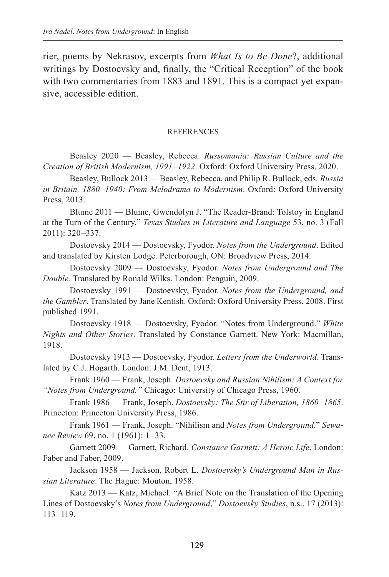rier, poems by Nekrasov, excerpts from *What Is to Be Done*?, additional writings by Dostoevsky and, finally, the "Critical Reception" of the book with two commentaries from 1883 and 1891. This is a compact yet expansive, accessible edition.

#### REFERENCES

Beasley 2020 — Beasley, Rebecca. *Russomania: Russian Culture and the Creation of British Modernism, 1991 –1922*. Oxford: Oxford University Press, 2020.

Beasley, Bullock 2013 *—* Beasley, Rebecca, and Philip R. Bullock, eds. *Russia in Britain, 1880 –1940: From Melodrama to Modernism*. Oxford: Oxford University Press, 2013.

Blume 2011 — Blume, Gwendolyn J. "The Reader-Brand: Tolstoy in England at the Turn of the Century." *Texas Studies in Literature and Language* 53, no. 3 (Fall 2011): 320 –337.

Dostoevsky 2014 — Dostoevsky, Fyodor. *Notes from the Underground*. Edited and translated by Kirsten Lodge. Peterborough, ON: Broadview Press, 2014.

Dostoevsky 2009 — Dostoevsky, Fyodor. *Notes from Underground and The Double.* Translated by Ronald Wilks. London: Penguin, 2009.

Dostoevsky 1991 — Dostoevsky, Fyodor. *Notes from the Underground, and the Gambler*. Translated by Jane Kentish. Oxford: Oxford University Press, 2008. First published 1991.

Dostoevsky 1918 — Dostoevsky, Fyodor. "Notes from Underground." *White Nights and Other Stories*. Translated by Constance Garnett. New York: Macmillan, 1918.

Dostoevsky 1913 — Dostoevsky, Fyodor. *Letters from the Underworld*. Translated by C.J. Hogarth. London: J.M. Dent, 1913.

Frank 1960 — Frank, Joseph. *Dostoevsky and Russian Nihilism: A Context for "Notes from Underground."* Chicago: University of Chicago Press, 1960.

Frank 1986 — Frank, Joseph. *Dostoevsky: The Stir of Liberation, 1860 –1865*. Princeton: Princeton University Press, 1986.

Frank 1961 — Frank, Joseph. "Nihilism and *Notes from Underground*." *Sewanee Review* 69, no. 1 (1961): 1 –33.

Garnett 2009 — Garnett, Richard. *Constance Garnett: A Heroic Life*. London: Faber and Faber, 2009.

Jackson 1958 — Jackson, Robert L. *Dostoevsky's Underground Man in Russian Literature*. The Hague: Mouton, 1958.

Katz 2013 — Katz, Michael. "A Brief Note on the Translation of the Opening Lines of Dostoevsky's *Notes from Underground*," *Dostoevsky Studies*, n.s., 17 (2013):  $113 - 119$ .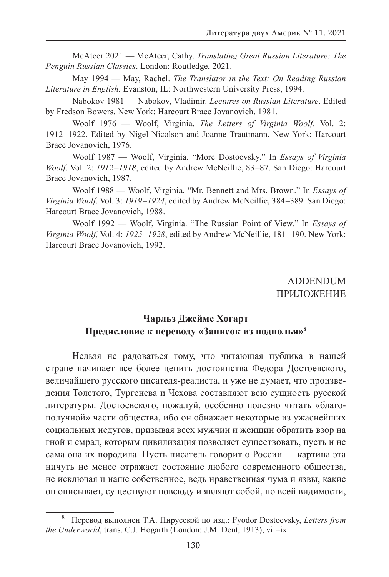McAteer 2021 — McAteer, Cathy. *Translating Great Russian Literature: The Penguin Russian Classics*. London: Routledge, 2021.

May 1994 — May, Rachel. *The Translator in the Text: On Reading Russian Literature in English.* Evanston, IL: Northwestern University Press, 1994.

Nabokov 1981 — Nabokov, Vladimir. *Lectures on Russian Literature*. Edited by Fredson Bowers. New York: Harcourt Brace Jovanovich, 1981.

Woolf 1976 — Woolf, Virginia. *The Letters of Virginia Woolf*. Vol. 2: 1912 –1922. Edited by Nigel Nicolson and Joanne Trautmann. New York: Harcourt Brace Jovanovich, 1976.

Woolf 1987 — Woolf, Virginia. "More Dostoevsky." In *Essays of Virginia Woolf*. Vol. 2: *1912 –1918*, edited by Andrew McNeillie, 83 –87. San Diego: Harcourt Brace Jovanovich, 1987.

Woolf 1988 — Woolf, Virginia. "Mr. Bennett and Mrs. Brown." In *Essays of Virginia Woolf*. Vol. 3: *1919 –1924*, edited by Andrew McNeillie, 384 –389. San Diego: Harcourt Brace Jovanovich, 1988.

Woolf 1992 — Woolf, Virginia. "The Russian Point of View." In *Essays of Virginia Woolf,* Vol. 4: *1925 –1928*, edited by Andrew McNeillie, 181 –190. New York: Harcourt Brace Jovanovich, 1992.

> ADDENDUM ПРИЛОЖЕНИЕ

### **Чарльз Джеймс Хогарт Предисловие к переводу «Записок из подполья»8**

Нельзя не радоваться тому, что читающая публика в нашей стране начинает все более ценить достоинства Федора Достоевского, величайшего русского писателя-реалиста, и уже не думает, что произведения Толстого, Тургенева и Чехова составляют всю сущность русской литературы. Достоевского, пожалуй, особенно полезно читать «благополучной» части общества, ибо он обнажает некоторые из ужаснейших социальных недугов, призывая всех мужчин и женщин обратить взор на гной и смрад, которым цивилизация позволяет существовать, пусть и не сама она их породила. Пусть писатель говорит о России — картина эта ничуть не менее отражает состояние любого современного общества, не исключая и наше собственное, ведь нравственная чума и язвы, какие он описывает, существуют повсюду и являют собой, по всей видимости,

<sup>8</sup> Перевод выполнен Т.А. Пирусской по изд.: Fyodor Dostoevsky, *Letters from the Underworld*, trans. C.J. Hogarth (London: J.M. Dent, 1913), vii –ix.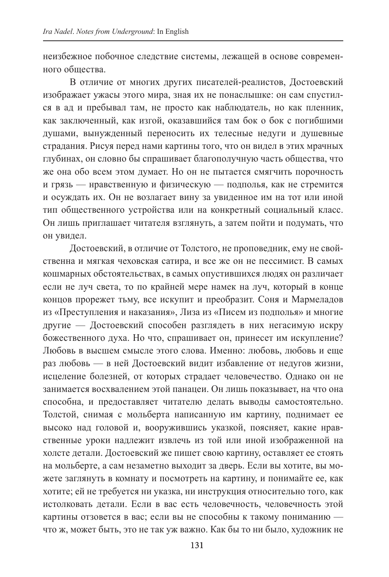неизбежное побочное следствие системы, лежащей в основе современного общества.

В отличие от многих других писателей-реалистов, Достоевский изображает ужасы этого мира, зная их не понаслышке: он сам спустился в ад и пребывал там, не просто как наблюдатель, но как пленник, как заключенный, как изгой, оказавшийся там бок о бок с погибшими душами, вынужденный переносить их телесные недуги и душевные страдания. Рисуя перед нами картины того, что он видел в этих мрачных глубинах, он словно бы спрашивает благополучную часть общества, что же она обо всем этом думает. Но он не пытается смягчить порочность и грязь — нравственную и физическую — подполья, как не стремится и осуждать их. Он не возлагает вину за увиденное им на тот или иной тип общественного устройства или на конкретный социальный класс. Он лишь приглашает читателя взглянуть, а затем пойти и подумать, что он увидел.

Достоевский, в отличие от Толстого, не проповедник, ему не свойственна и мягкая чеховская сатира, и все же он не пессимист. В самых кошмарных обстоятельствах, в самых опустившихся людях он различает если не луч света, то по крайней мере намек на луч, который в конце концов прорежет тьму, все искупит и преобразит. Соня и Мармеладов из «Преступления и наказания», Лиза из «Писем из подполья» и многие другие — Достоевский способен разглядеть в них негасимую искру божественного духа. Но что, спрашивает он, принесет им искупление? Любовь в высшем смысле этого слова. Именно: любовь, любовь и еще раз любовь — в ней Достоевский видит избавление от недугов жизни, исцеление болезней, от которых страдает человечество. Однако он не занимается восхвалением этой панацеи. Он лишь показывает, на что она способна, и предоставляет читателю делать выводы самостоятельно. Толстой, снимая с мольберта написанную им картину, поднимает ее высоко над головой и, вооружившись указкой, поясняет, какие нравственные уроки надлежит извлечь из той или иной изображенной на холсте детали. Достоевский же пишет свою картину, оставляет ее стоять на мольберте, а сам незаметно выходит за дверь. Если вы хотите, вы можете заглянуть в комнату и посмотреть на картину, и понимайте ее, как хотите; ей не требуется ни указка, ни инструкция относительно того, как истолковать детали. Если в вас есть человечность, человечность этой картины отзовется в вас; если вы не способны к такому пониманию что ж, может быть, это не так уж важно. Как бы то ни было, художник не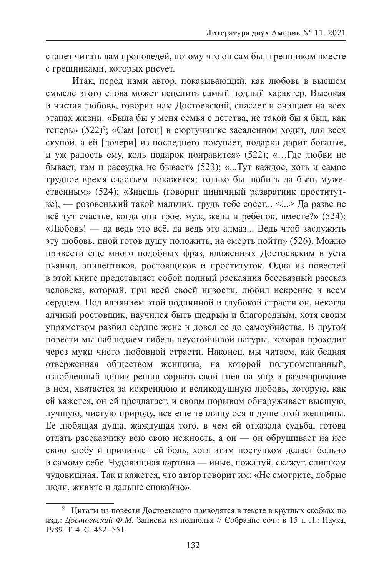станет читать вам проповедей, потому что он сам был грешником вместе с грешниками, которых рисует.

Итак, перед нами автор, показывающий, как любовь в высшем смысле этого слова может исцелить самый подлый характер. Высокая и чистая любовь, говорит нам Достоевский, спасает и очищает на всех этапах жизни. «Была бы у меня семья с детства, не такой бы я был, как теперь» (522)<sup>9</sup>; «Сам [отец] в сюртучишке засаленном ходит, для всех скупой, а ей [дочери] из последнего покупает, подарки дарит богатые, и уж радость ему, коль подарок понравится» (522); «…Где любви не бывает, там и рассудка не бывает» (523); «...Тут каждое, хоть и самое трудное время счастьем покажется; только бы любить да быть мужественным» (524); «Знаешь (говорит циничный развратник проститутке), — розовенький такой мальчик, грудь тебе сосет... <...> Да разве не всё тут счастье, когда они трое, муж, жена и ребенок, вместе?» (524); «Любовь! — да ведь это всё, да ведь это алмаз... Ведь чтоб заслужить эту любовь, иной готов душу положить, на смерть пойти» (526). Можно привести еще много подобных фраз, вложенных Достоевским в уста пьяниц, эпилептиков, ростовщиков и проституток. Одна из повестей в этой книге представляет собой полный раскаяния бессвязный рассказ человека, который, при всей своей низости, любил искренне и всем сердцем. Под влиянием этой подлинной и глубокой страсти он, некогда алчный ростовщик, научился быть щедрым и благородным, хотя своим упрямством разбил сердце жене и довел ее до самоубийства. В другой повести мы наблюдаем гибель неустойчивой натуры, которая проходит через муки чисто любовной страсти. Наконец, мы читаем, как бедная отверженная обществом женщина, на которой полупомешанный, озлобленный циник решил сорвать свой гнев на мир и разочарование в нем, хватается за искреннюю и великодушную любовь, которую, как ей кажется, он ей предлагает, и своим порывом обнаруживает высшую, лучшую, чистую природу, все еще теплящуюся в душе этой женщины. Ее любящая душа, жаждущая того, в чем ей отказала судьба, готова отдать рассказчику всю свою нежность, а он — он обрушивает на нее свою злобу и причиняет ей боль, хотя этим поступком делает больно и самому себе. Чудовищная картина — иные, пожалуй, скажут, слишком чудовищная. Так и кажется, что автор говорит им: «Не смотрите, добрые люди, живите и дальше спокойно».

<sup>9</sup> Цитаты из повести Достоевского приводятся в тексте в круглых скобках по изд.: *Достоевский Ф.М.* Записки из подполья // Собрание соч.: в 15 т. Л.: Наука, 1989. Т. 4. С. 452 –551.